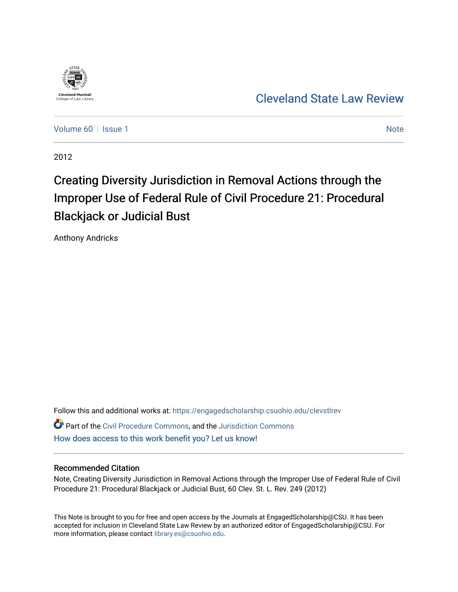

[Cleveland State Law Review](https://engagedscholarship.csuohio.edu/clevstlrev) 

[Volume 60](https://engagedscholarship.csuohio.edu/clevstlrev/vol60) | [Issue 1](https://engagedscholarship.csuohio.edu/clevstlrev/vol60/iss1) [Note](https://engagedscholarship.csuohio.edu/clevstlrev/vol60/iss1/9) 1 Note 1 Note 1 Note 1 Note 1 Note 1 Note 1 Note 1 Note 1 Note 1 Note 1 Note 1 Note 1 Note 1 Note 1 Note 1 Note 1 Note 1 Note 1 Note 1 Note 1 Note 1 Note 1 Note 1 Note 1 Note 1 Note 1 Note 1 Note 1

2012

# Creating Diversity Jurisdiction in Removal Actions through the Improper Use of Federal Rule of Civil Procedure 21: Procedural Blackjack or Judicial Bust

Anthony Andricks

Follow this and additional works at: [https://engagedscholarship.csuohio.edu/clevstlrev](https://engagedscholarship.csuohio.edu/clevstlrev?utm_source=engagedscholarship.csuohio.edu%2Fclevstlrev%2Fvol60%2Fiss1%2F9&utm_medium=PDF&utm_campaign=PDFCoverPages) Part of the [Civil Procedure Commons,](http://network.bepress.com/hgg/discipline/584?utm_source=engagedscholarship.csuohio.edu%2Fclevstlrev%2Fvol60%2Fiss1%2F9&utm_medium=PDF&utm_campaign=PDFCoverPages) and the [Jurisdiction Commons](http://network.bepress.com/hgg/discipline/850?utm_source=engagedscholarship.csuohio.edu%2Fclevstlrev%2Fvol60%2Fiss1%2F9&utm_medium=PDF&utm_campaign=PDFCoverPages) [How does access to this work benefit you? Let us know!](http://library.csuohio.edu/engaged/)

## Recommended Citation

Note, Creating Diversity Jurisdiction in Removal Actions through the Improper Use of Federal Rule of Civil Procedure 21: Procedural Blackjack or Judicial Bust, 60 Clev. St. L. Rev. 249 (2012)

This Note is brought to you for free and open access by the Journals at EngagedScholarship@CSU. It has been accepted for inclusion in Cleveland State Law Review by an authorized editor of EngagedScholarship@CSU. For more information, please contact [library.es@csuohio.edu](mailto:library.es@csuohio.edu).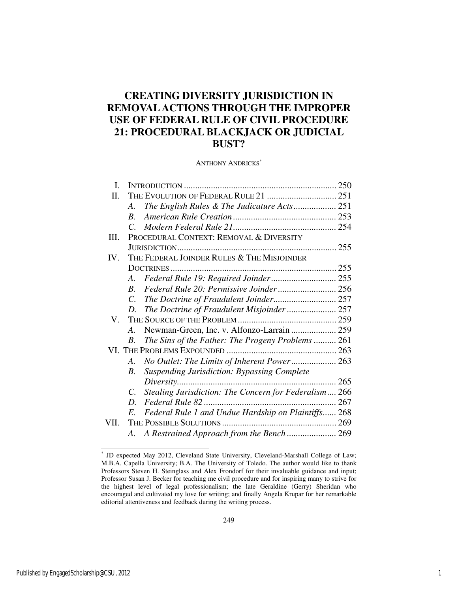## **CREATING DIVERSITY JURISDICTION IN REMOVAL ACTIONS THROUGH THE IMPROPER USE OF FEDERAL RULE OF CIVIL PROCEDURE 21: PROCEDURAL BLACKJACK OR JUDICIAL BUST?**

ANTHONY ANDRICKS<sup>\*</sup>

| I.                                   |                       |                                                       |              |  |
|--------------------------------------|-----------------------|-------------------------------------------------------|--------------|--|
| П.                                   |                       |                                                       |              |  |
|                                      | A.                    | The English Rules & The Judicature Acts 251           |              |  |
|                                      | $R_{\cdot}$           |                                                       |              |  |
|                                      | $\mathcal{C}$         |                                                       |              |  |
| III.                                 |                       | PROCEDURAL CONTEXT: REMOVAL & DIVERSITY               |              |  |
|                                      |                       |                                                       |              |  |
| IV.                                  |                       | THE FEDERAL JOINDER RULES & THE MISJOINDER            |              |  |
|                                      |                       |                                                       |              |  |
|                                      | $A_{\cdot}$           | Federal Rule 19: Required Joinder 255                 |              |  |
|                                      | $R_{\cdot}$           |                                                       |              |  |
|                                      | $C_{\cdot}$           | The Doctrine of Fraudulent Joinder 257                |              |  |
|                                      | D.                    | The Doctrine of Fraudulent Misjoinder  257            |              |  |
| ${\rm V}_{\scriptscriptstyle \perp}$ |                       |                                                       |              |  |
|                                      | $\mathcal{A}_{\cdot}$ | Newman-Green, Inc. v. Alfonzo-Larrain  259            |              |  |
|                                      | B.                    | The Sins of the Father: The Progeny Problems  261     |              |  |
|                                      |                       |                                                       |              |  |
|                                      | A.                    | No Outlet: The Limits of Inherent Power 263           |              |  |
|                                      | $B_{\cdot}$           | <b>Suspending Jurisdiction: Bypassing Complete</b>    |              |  |
|                                      |                       | Diversity                                             | $\ldots$ 265 |  |
|                                      | C.                    | Stealing Jurisdiction: The Concern for Federalism 266 |              |  |
|                                      | D.                    |                                                       |              |  |
|                                      | E.                    | Federal Rule 1 and Undue Hardship on Plaintiffs 268   |              |  |
| VII.                                 |                       |                                                       |              |  |
|                                      | А.                    | A Restrained Approach from the Bench  269             |              |  |

 \* JD expected May 2012, Cleveland State University, Cleveland-Marshall College of Law; M.B.A. Capella University; B.A. The University of Toledo. The author would like to thank Professors Steven H. Steinglass and Alex Frondorf for their invaluable guidance and input; Professor Susan J. Becker for teaching me civil procedure and for inspiring many to strive for the highest level of legal professionalism; the late Geraldine (Gerry) Sheridan who encouraged and cultivated my love for writing; and finally Angela Krupar for her remarkable editorial attentiveness and feedback during the writing process.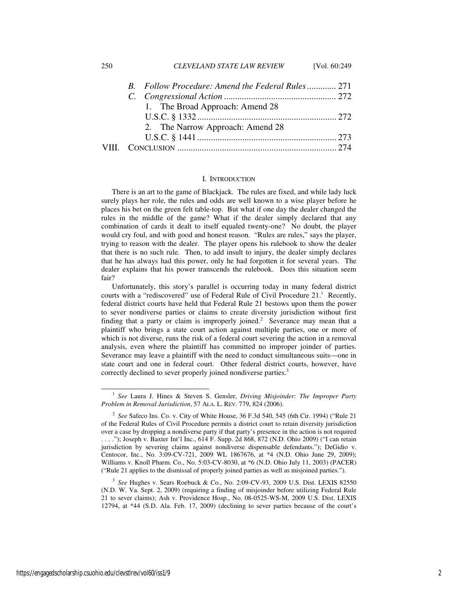| 250 | <b>CLEVELAND STATE LAW REVIEW</b> | [Vol. $60:249$ ] |
|-----|-----------------------------------|------------------|
|-----|-----------------------------------|------------------|

|  | B. Follow Procedure: Amend the Federal Rules 271 |  |
|--|--------------------------------------------------|--|
|  |                                                  |  |
|  | 1. The Broad Approach: Amend 28                  |  |
|  |                                                  |  |
|  | 2. The Narrow Approach: Amend 28                 |  |
|  |                                                  |  |
|  |                                                  |  |
|  |                                                  |  |

#### I. INTRODUCTION

There is an art to the game of Blackjack. The rules are fixed, and while lady luck surely plays her role, the rules and odds are well known to a wise player before he places his bet on the green felt table-top. But what if one day the dealer changed the rules in the middle of the game? What if the dealer simply declared that any combination of cards it dealt to itself equaled twenty-one? No doubt, the player would cry foul, and with good and honest reason. "Rules are rules," says the player, trying to reason with the dealer. The player opens his rulebook to show the dealer that there is no such rule. Then, to add insult to injury, the dealer simply declares that he has always had this power, only he had forgotten it for several years. The dealer explains that his power transcends the rulebook. Does this situation seem fair?

Unfortunately, this story's parallel is occurring today in many federal district courts with a "rediscovered" use of Federal Rule of Civil Procedure  $21$ .<sup>1</sup> Recently, federal district courts have held that Federal Rule 21 bestows upon them the power to sever nondiverse parties or claims to create diversity jurisdiction without first finding that a party or claim is improperly joined.<sup>2</sup> Severance may mean that a plaintiff who brings a state court action against multiple parties, one or more of which is not diverse, runs the risk of a federal court severing the action in a removal analysis, even where the plaintiff has committed no improper joinder of parties. Severance may leave a plaintiff with the need to conduct simultaneous suits—one in state court and one in federal court. Other federal district courts, however, have correctly declined to sever properly joined nondiverse parties.<sup>3</sup>

3 *See* Hughes v. Sears Roebuck & Co., No. 2:09-CV-93, 2009 U.S. Dist. LEXIS 82550 (N.D. W. Va. Sept. 2, 2009) (requiring a finding of misjoinder before utilizing Federal Rule 21 to sever claims); Ash v. Providence Hosp., No. 08-0525-WS-M, 2009 U.S. Dist. LEXIS 12794, at \*44 (S.D. Ala. Feb. 17, 2009) (declining to sever parties because of the court's

-

<sup>1</sup> *See* Laura J. Hines & Steven S. Gensler, *Driving Misjoinder: The Improper Party Problem in Removal Jurisdiction*, 57 ALA. L. REV. 779, 824 (2006).

<sup>2</sup> *See* Safeco Ins. Co. v. City of White House, 36 F.3d 540, 545 (6th Cir. 1994) ("Rule 21 of the Federal Rules of Civil Procedure permits a district court to retain diversity jurisdiction over a case by dropping a nondiverse party if that party's presence in the action is not required . . . ."); Joseph v. Baxter Int'l Inc., 614 F. Supp. 2d 868, 872 (N.D. Ohio 2009) ("I can retain jurisdiction by severing claims against nondiverse dispensable defendants."); DeGidio v. Centocor, Inc., No. 3:09-CV-721, 2009 WL 1867676, at \*4 (N.D. Ohio June 29, 2009); Williams v. Knoll Pharm. Co., No. 5:03-CV-8030, at \*6 (N.D. Ohio July 11, 2003) (PACER) ("Rule 21 applies to the dismissal of properly joined parties as well as misjoined parties.").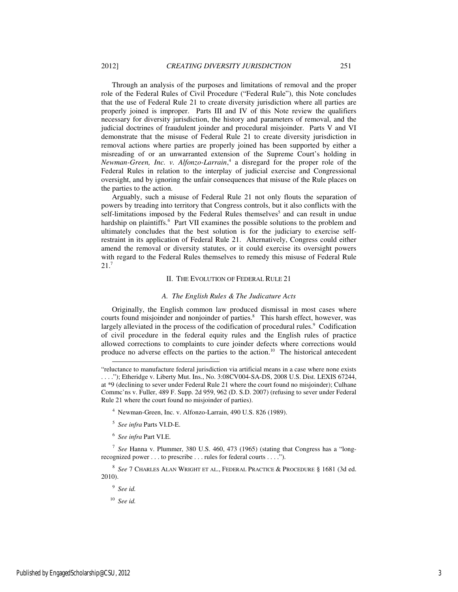role of the Federal Rules of Civil Procedure ("Federal Rule"), this Note concludes that the use of Federal Rule 21 to create diversity jurisdiction where all parties are properly joined is improper. Parts III and IV of this Note review the qualifiers necessary for diversity jurisdiction, the history and parameters of removal, and the judicial doctrines of fraudulent joinder and procedural misjoinder. Parts V and VI demonstrate that the misuse of Federal Rule 21 to create diversity jurisdiction in removal actions where parties are properly joined has been supported by either a misreading of or an unwarranted extension of the Supreme Court's holding in *Newman-Green, Inc. v. Alfonzo-Larrain*, 4 a disregard for the proper role of the Federal Rules in relation to the interplay of judicial exercise and Congressional oversight, and by ignoring the unfair consequences that misuse of the Rule places on the parties to the action.

Arguably, such a misuse of Federal Rule 21 not only flouts the separation of powers by treading into territory that Congress controls, but it also conflicts with the self-limitations imposed by the Federal Rules themselves<sup>5</sup> and can result in undue hardship on plaintiffs.<sup>6</sup> Part VII examines the possible solutions to the problem and ultimately concludes that the best solution is for the judiciary to exercise selfrestraint in its application of Federal Rule 21. Alternatively, Congress could either amend the removal or diversity statutes, or it could exercise its oversight powers with regard to the Federal Rules themselves to remedy this misuse of Federal Rule 21.<sup>7</sup>

#### II. THE EVOLUTION OF FEDERAL RULE 21

#### *A. The English Rules & The Judicature Acts*

Originally, the English common law produced dismissal in most cases where courts found misjoinder and nonjoinder of parties.<sup>8</sup> This harsh effect, however, was largely alleviated in the process of the codification of procedural rules.<sup>9</sup> Codification of civil procedure in the federal equity rules and the English rules of practice allowed corrections to complaints to cure joinder defects where corrections would produce no adverse effects on the parties to the action.<sup>10</sup> The historical antecedent

9 *See id.* 

-

<sup>&</sup>quot;reluctance to manufacture federal jurisdiction via artificial means in a case where none exists . . . ."); Etheridge v. Liberty Mut. Ins., No. 3:08CV004-SA-DS, 2008 U.S. Dist. LEXIS 67244, at \*9 (declining to sever under Federal Rule 21 where the court found no misjoinder); Culhane Commc'ns v. Fuller, 489 F. Supp. 2d 959, 962 (D. S.D. 2007) (refusing to sever under Federal Rule 21 where the court found no misjoinder of parties).

<sup>4</sup> Newman-Green, Inc. v. Alfonzo-Larrain, 490 U.S. 826 (1989).

<sup>5</sup> *See infra* Parts VI.D-E.

<sup>6</sup> *See infra* Part VI.E.

<sup>7</sup> *See* Hanna v. Plummer, 380 U.S. 460, 473 (1965) (stating that Congress has a "longrecognized power . . . to prescribe . . . rules for federal courts . . . .").

<sup>8</sup> *See* 7 CHARLES ALAN WRIGHT ET AL., FEDERAL PRACTICE & PROCEDURE § 1681 (3d ed. 2010).

<sup>10</sup> *See id.*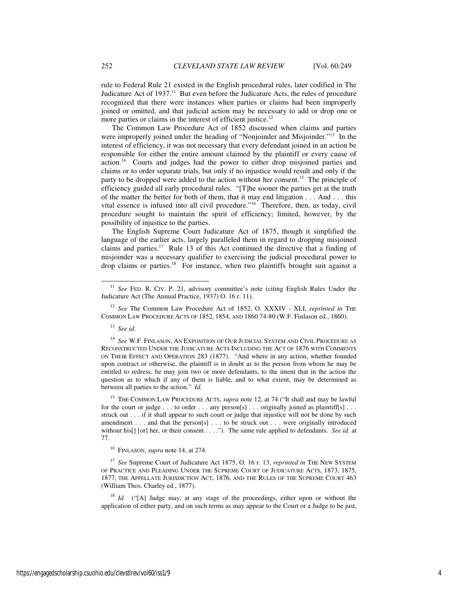rule to Federal Rule 21 existed in the English procedural rules, later codified in The Judicature Act of 1937.<sup>11</sup> But even before the Judicature Acts, the rules of procedure recognized that there were instances when parties or claims had been improperly joined or omitted, and that judicial action may be necessary to add or drop one or more parties or claims in the interest of efficient justice. $12$ 

The Common Law Procedure Act of 1852 discussed when claims and parties were improperly joined under the heading of "Nonjoinder and Misjoinder."<sup>13</sup> In the interest of efficiency, it was not necessary that every defendant joined in an action be responsible for either the entire amount claimed by the plaintiff or every cause of action.<sup>14</sup> Courts and judges had the power to either drop misjoined parties and claims or to order separate trials, but only if no injustice would result and only if the party to be dropped were added to the action without her consent.<sup>15</sup> The principle of efficiency guided all early procedural rules. "[T]he sooner the parties get at the truth of the matter the better for both of them, that it may end litigation . . . And . . . this vital essence is infused into all civil procedure."<sup>16</sup> Therefore, then, as today, civil procedure sought to maintain the spirit of efficiency; limited, however, by the possibility of injustice to the parties.

The English Supreme Court Judicature Act of 1875, though it simplified the language of the earlier acts, largely paralleled them in regard to dropping misjoined claims and parties.<sup>17</sup> Rule 13 of this Act continued the directive that a finding of misjoinder was a necessary qualifier to exercising the judicial procedural power to drop claims or parties.<sup>18</sup> For instance, when two plaintiffs brought suit against a

-

<sup>15</sup> THE COMMON LAW PROCEDURE ACTS, *supra* note 12, at 74 ("It shall and may be lawful for the court or judge . . . to order . . . any person[s] . . . originally joined as plaintiff[s] . . . struck out . . . if it shall appear to such court or judge that injustice will not be done by such amendment . . . and that the person[s] . . . to be struck out . . . were originally introduced without his[] [or] her, or their consent . . . ."). The same rule applied to defendants. *See id.* at 77.

<sup>16</sup> FINLASON, *supra* note 14, at 274.

<sup>17</sup> *See* Supreme Court of Judicature Act 1875, O. 16 r. 13, *reprinted in* THE NEW SYSTEM OF PRACTICE AND PLEADING UNDER THE SUPREME COURT OF JUDICATURE ACTS, 1873, 1875, 1877, THE APPELLATE JURISDICTION ACT, 1876, AND THE RULES OF THE SUPREME COURT 463 (William Thos. Charley ed., 1877).

<sup>18</sup> *Id.* ("[A] Judge may, at any stage of the proceedings, either upon or without the application of either party, and on such terms as may appear to the Court or a Judge to be just,

<sup>&</sup>lt;sup>11</sup> *See* FED. R. CIV. P. 21, advisory committee's note (citing English Rules Under the Judicature Act (The Annual Practice, 1937) O. 16 r. 11).

<sup>12</sup> *See* The Common Law Procedure Act of 1852, O. XXXIV - XLI, *reprinted in* THE COMMON LAW PROCEDURE ACTS OF 1852, 1854, AND 1860 74-80 (W.F. Finlason ed., 1860).

<sup>13</sup> *See id.* 

<sup>14</sup> *See* W.F. FINLASON, AN EXPOSITION OF OUR JUDICIAL SYSTEM AND CIVIL PROCEDURE AS RECONSTRUCTED UNDER THE JUDICATURE ACTS INCLUDING THE ACT OF 1876 WITH COMMENTS ON THEIR EFFECT AND OPERATION 283 (1877). "And where in any action, whether founded upon contract or otherwise, the plaintiff is in doubt as to the person from whom he may be entitled to redress, he may join two or more defendants, to the intent that in the action the question as to which if any of them is liable, and to what extent, may be determined as between all parties to the action." *Id.*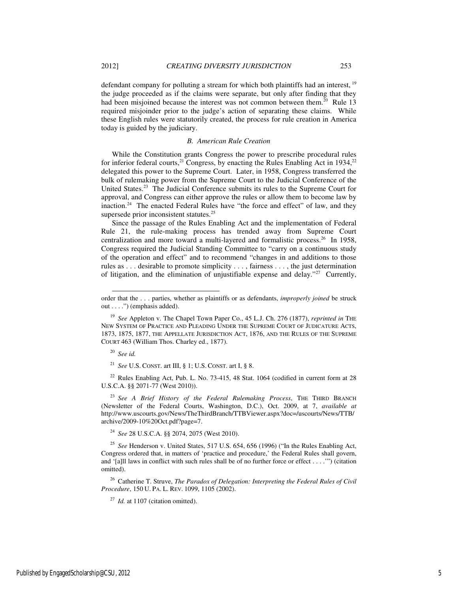defendant company for polluting a stream for which both plaintiffs had an interest, <sup>19</sup> the judge proceeded as if the claims were separate, but only after finding that they had been misjoined because the interest was not common between them.<sup>20</sup> Rule 13 required misjoinder prior to the judge's action of separating these claims. While these English rules were statutorily created, the process for rule creation in America today is guided by the judiciary.

#### *B. American Rule Creation*

While the Constitution grants Congress the power to prescribe procedural rules for inferior federal courts,<sup>21</sup> Congress, by enacting the Rules Enabling Act in 1934,<sup>22</sup> delegated this power to the Supreme Court. Later, in 1958, Congress transferred the bulk of rulemaking power from the Supreme Court to the Judicial Conference of the United States.<sup>23</sup> The Judicial Conference submits its rules to the Supreme Court for approval, and Congress can either approve the rules or allow them to become law by inaction.<sup>24</sup> The enacted Federal Rules have "the force and effect" of law, and they supersede prior inconsistent statutes.<sup>25</sup>

Since the passage of the Rules Enabling Act and the implementation of Federal Rule 21, the rule-making process has trended away from Supreme Court centralization and more toward a multi-layered and formalistic process.<sup>26</sup> In 1958, Congress required the Judicial Standing Committee to "carry on a continuous study of the operation and effect" and to recommend "changes in and additions to those rules as . . . desirable to promote simplicity . . . , fairness . . . , the just determination of litigation, and the elimination of unjustifiable expense and delay."<sup>27</sup> Currently,

-

<sup>21</sup> *See* U.S. CONST. art III, § 1; U.S. CONST. art I, § 8.

<sup>22</sup> Rules Enabling Act, Pub. L. No. 73-415, 48 Stat. 1064 (codified in current form at 28 U.S.C.A. §§ 2071-77 (West 2010)).

<sup>23</sup> *See A Brief History of the Federal Rulemaking Process*, THE THIRD BRANCH (Newsletter of the Federal Courts, Washington, D.C.), Oct. 2009, at 7, *available at*  http://www.uscourts.gov/News/TheThirdBranch/TTBViewer.aspx?doc=/uscourts/News/TTB/ archive/2009-10%20Oct.pdf?page=7.

<sup>24</sup> *See* 28 U.S.C.A. §§ 2074, 2075 (West 2010).

<sup>25</sup> *See* Henderson v. United States, 517 U.S. 654, 656 (1996) ("In the Rules Enabling Act, Congress ordered that, in matters of 'practice and procedure,' the Federal Rules shall govern, and '[a]ll laws in conflict with such rules shall be of no further force or effect . . . .'") (citation omitted).

<sup>26</sup> Catherine T. Struve, *The Paradox of Delegation: Interpreting the Federal Rules of Civil Procedure*, 150 U. PA. L. REV. 1099, 1105 (2002).

<sup>27</sup> *Id.* at 1107 (citation omitted).

order that the . . . parties, whether as plaintiffs or as defendants, *improperly joined* be struck out . . . .") (emphasis added).

<sup>19</sup> *See* Appleton v. The Chapel Town Paper Co., 45 L.J. Ch. 276 (1877), *reprinted in* THE NEW SYSTEM OF PRACTICE AND PLEADING UNDER THE SUPREME COURT OF JUDICATURE ACTS, 1873, 1875, 1877, THE APPELLATE JURISDICTION ACT, 1876, AND THE RULES OF THE SUPREME COURT 463 (William Thos. Charley ed., 1877).

<sup>20</sup> *See id.*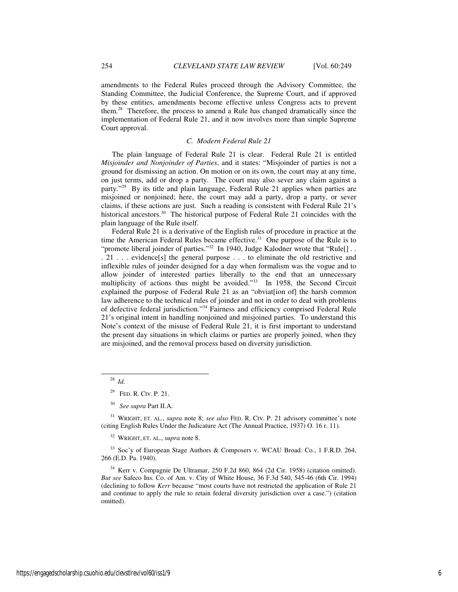amendments to the Federal Rules proceed through the Advisory Committee, the Standing Committee, the Judicial Conference, the Supreme Court, and if approved by these entities, amendments become effective unless Congress acts to prevent them.<sup>28</sup> Therefore, the process to amend a Rule has changed dramatically since the implementation of Federal Rule 21, and it now involves more than simple Supreme Court approval.

#### *C. Modern Federal Rule 21*

The plain language of Federal Rule 21 is clear. Federal Rule 21 is entitled *Misjoinder and Nonjoinder of Parties*, and it states: "Misjoinder of parties is not a ground for dismissing an action. On motion or on its own, the court may at any time, on just terms, add or drop a party. The court may also sever any claim against a party."<sup>29</sup> By its title and plain language, Federal Rule 21 applies when parties are misjoined or nonjoined; here, the court may add a party, drop a party, or sever claims, if these actions are just. Such a reading is consistent with Federal Rule 21's historical ancestors.<sup>30</sup> The historical purpose of Federal Rule 21 coincides with the plain language of the Rule itself.

Federal Rule 21 is a derivative of the English rules of procedure in practice at the time the American Federal Rules became effective.<sup>31</sup> One purpose of the Rule is to "promote liberal joinder of parties."<sup>32</sup> In 1940, Judge Kalodner wrote that "Rule[] . . . 21 . . . evidence[s] the general purpose . . . to eliminate the old restrictive and inflexible rules of joinder designed for a day when formalism was the vogue and to allow joinder of interested parties liberally to the end that an unnecessary multiplicity of actions thus might be avoided."<sup>33</sup> In 1958, the Second Circuit explained the purpose of Federal Rule 21 as an "obviat[ion of] the harsh common law adherence to the technical rules of joinder and not in order to deal with problems of defective federal jurisdiction."<sup>34</sup> Fairness and efficiency comprised Federal Rule 21's original intent in handling nonjoined and misjoined parties. To understand this Note's context of the misuse of Federal Rule 21, it is first important to understand the present day situations in which claims or parties are properly joined, when they are misjoined, and the removal process based on diversity jurisdiction.

j

<sup>32</sup> WRIGHT, ET. AL., *supra* note 8.

<sup>33</sup> Soc'y of European Stage Authors & Composers v. WCAU Broad. Co., 1 F.R.D. 264, 266 (E.D. Pa. 1940).

<sup>34</sup> Kerr v. Compagnie De Ultramar, 250 F.2d 860, 864 (2d Cir. 1958) (citation omitted). *But see* Safeco Ins. Co. of Am. v. City of White House, 36 F.3d 540, 545-46 (6th Cir. 1994) (declining to follow *Kerr* because "most courts have not restricted the application of Rule 21 and continue to apply the rule to retain federal diversity jurisdiction over a case.") (citation omitted).

<sup>28</sup> *Id.* 

<sup>29</sup> FED. R. CIV. P. 21.

<sup>30</sup> *See supra* Part II.A.

<sup>31</sup> WRIGHT, ET. AL., *supra* note 8; *see also* FED. R. CIV. P. 21 advisory committee's note (citing English Rules Under the Judicature Act (The Annual Practice, 1937) O. 16 r. 11).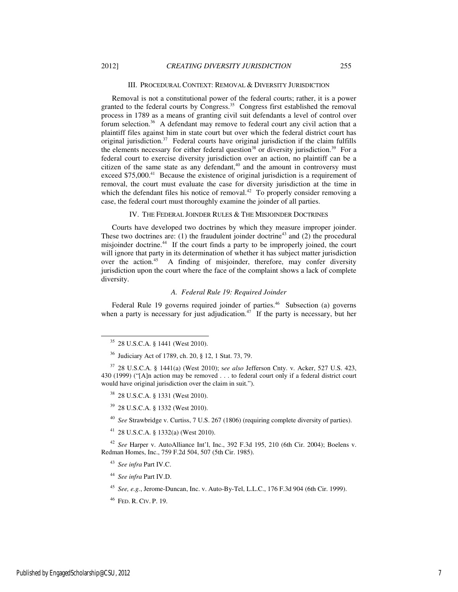#### III. PROCEDURAL CONTEXT: REMOVAL & DIVERSITY JURISDICTION

Removal is not a constitutional power of the federal courts; rather, it is a power granted to the federal courts by Congress.<sup>35</sup> Congress first established the removal process in 1789 as a means of granting civil suit defendants a level of control over forum selection.<sup>36</sup> A defendant may remove to federal court any civil action that a plaintiff files against him in state court but over which the federal district court has original jurisdiction.<sup>37</sup> Federal courts have original jurisdiction if the claim fulfills the elements necessary for either federal question<sup>38</sup> or diversity jurisdiction.<sup>39</sup> For a federal court to exercise diversity jurisdiction over an action, no plaintiff can be a citizen of the same state as any defendant, $40$  and the amount in controversy must exceed \$75,000.<sup>41</sup> Because the existence of original jurisdiction is a requirement of removal, the court must evaluate the case for diversity jurisdiction at the time in which the defendant files his notice of removal. $42$  To properly consider removing a case, the federal court must thoroughly examine the joinder of all parties.

#### IV. THE FEDERAL JOINDER RULES & THE MISJOINDER DOCTRINES

Courts have developed two doctrines by which they measure improper joinder. These two doctrines are: (1) the fraudulent joinder doctrine<sup>43</sup> and (2) the procedural misjoinder doctrine.<sup>44</sup> If the court finds a party to be improperly joined, the court will ignore that party in its determination of whether it has subject matter jurisdiction over the action.<sup>45</sup> A finding of misjoinder, therefore, may confer diversity jurisdiction upon the court where the face of the complaint shows a lack of complete diversity.

## *A. Federal Rule 19: Required Joinder*

Federal Rule 19 governs required joinder of parties.<sup>46</sup> Subsection (a) governs when a party is necessary for just adjudication.<sup>47</sup> If the party is necessary, but her

-

- <sup>38</sup> 28 U.S.C.A. § 1331 (West 2010).
- <sup>39</sup> 28 U.S.C.A. § 1332 (West 2010).
- <sup>40</sup> *See* Strawbridge v. Curtiss, 7 U.S. 267 (1806) (requiring complete diversity of parties).
- <sup>41</sup> 28 U.S.C.A. § 1332(a) (West 2010).

<sup>42</sup> *See* Harper v. AutoAlliance Int'l, Inc., 392 F.3d 195, 210 (6th Cir. 2004); Boelens v. Redman Homes, Inc., 759 F.2d 504, 507 (5th Cir. 1985).

<sup>45</sup> *See, e.g.*, Jerome-Duncan, Inc. v. Auto-By-Tel, L.L.C., 176 F.3d 904 (6th Cir. 1999).

<sup>35</sup> 28 U.S.C.A. § 1441 (West 2010).

<sup>36</sup> Judiciary Act of 1789, ch. 20, § 12, 1 Stat. 73, 79.

<sup>37</sup> 28 U.S.C.A. § 1441(a) (West 2010); s*ee also* Jefferson Cnty. v. Acker, 527 U.S. 423, 430 (1999) ("[A]n action may be removed . . . to federal court only if a federal district court would have original jurisdiction over the claim in suit.").

<sup>43</sup> *See infra* Part IV.C.

<sup>44</sup> *See infra* Part IV.D.

<sup>46</sup> FED. R. CIV. P. 19.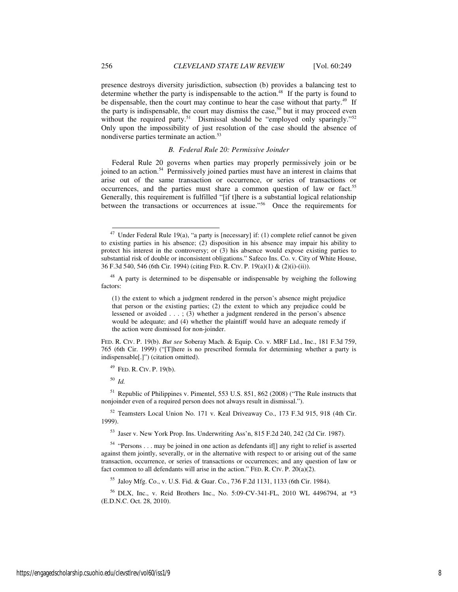presence destroys diversity jurisdiction, subsection (b) provides a balancing test to determine whether the party is indispensable to the action.<sup>48</sup> If the party is found to be dispensable, then the court may continue to hear the case without that party.<sup>49</sup> If the party is indispensable, the court may dismiss the case,<sup>50</sup> but it may proceed even without the required party.<sup>51</sup> Dismissal should be "employed only sparingly."<sup>52</sup> Only upon the impossibility of just resolution of the case should the absence of nondiverse parties terminate an action.<sup>53</sup>

#### *B. Federal Rule 20: Permissive Joinder*

Federal Rule 20 governs when parties may properly permissively join or be joined to an action.<sup>54</sup> Permissively joined parties must have an interest in claims that arise out of the same transaction or occurrence, or series of transactions or occurrences, and the parties must share a common question of law or fact.<sup>55</sup> Generally, this requirement is fulfilled "[if t]here is a substantial logical relationship between the transactions or occurrences at issue."<sup>56</sup> Once the requirements for

FED. R. CIV. P. 19(b). *But see* Soberay Mach. & Equip. Co. v. MRF Ltd., Inc., 181 F.3d 759, 765 (6th Cir. 1999) ("[T]here is no prescribed formula for determining whether a party is indispensable[.]") (citation omitted).

<sup>49</sup> FED. R. CIV. P. 19(b).

<sup>50</sup> *Id.* 

-

<sup>51</sup> Republic of Philippines v. Pimentel, 553 U.S. 851, 862 (2008) ("The Rule instructs that nonjoinder even of a required person does not always result in dismissal.").

<sup>52</sup> Teamsters Local Union No. 171 v. Keal Driveaway Co., 173 F.3d 915, 918 (4th Cir. 1999).

<sup>53</sup> Jaser v. New York Prop. Ins. Underwriting Ass'n, 815 F.2d 240, 242 (2d Cir. 1987).

<sup>54</sup> "Persons . . . may be joined in one action as defendants if[] any right to relief is asserted against them jointly, severally, or in the alternative with respect to or arising out of the same transaction, occurrence, or series of transactions or occurrences; and any question of law or fact common to all defendants will arise in the action." FED. R. CIV. P. 20(a)(2).

<sup>55</sup> Jaloy Mfg. Co., v. U.S. Fid. & Guar. Co., 736 F.2d 1131, 1133 (6th Cir. 1984).

<sup>56</sup> DLX, Inc., v. Reid Brothers Inc., No. 5:09-CV-341-FL, 2010 WL 4496794, at \*3 (E.D.N.C. Oct. 28, 2010).

Under Federal Rule 19(a), "a party is [necessary] if: (1) complete relief cannot be given to existing parties in his absence; (2) disposition in his absence may impair his ability to protect his interest in the controversy; or (3) his absence would expose existing parties to substantial risk of double or inconsistent obligations." Safeco Ins. Co. v. City of White House, 36 F.3d 540, 546 (6th Cir. 1994) (citing FED. R. CIV. P. 19(a)(1) & (2)(i)-(ii)).

<sup>&</sup>lt;sup>48</sup> A party is determined to be dispensable or indispensable by weighing the following factors:

<sup>(1)</sup> the extent to which a judgment rendered in the person's absence might prejudice that person or the existing parties; (2) the extent to which any prejudice could be lessened or avoided . . . ; (3) whether a judgment rendered in the person's absence would be adequate; and (4) whether the plaintiff would have an adequate remedy if the action were dismissed for non-joinder.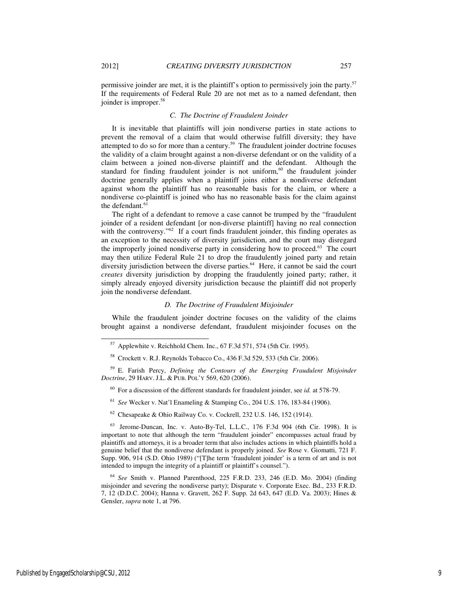-

permissive joinder are met, it is the plaintiff's option to permissively join the party.<sup>57</sup> If the requirements of Federal Rule 20 are not met as to a named defendant, then joinder is improper.<sup>58</sup>

## *C. The Doctrine of Fraudulent Joinder*

It is inevitable that plaintiffs will join nondiverse parties in state actions to prevent the removal of a claim that would otherwise fulfill diversity; they have attempted to do so for more than a century.<sup>59</sup> The fraudulent joinder doctrine focuses the validity of a claim brought against a non-diverse defendant or on the validity of a claim between a joined non-diverse plaintiff and the defendant. Although the standard for finding fraudulent joinder is not uniform, $60$  the fraudulent joinder doctrine generally applies when a plaintiff joins either a nondiverse defendant against whom the plaintiff has no reasonable basis for the claim, or where a nondiverse co-plaintiff is joined who has no reasonable basis for the claim against the defendant.<sup>61</sup>

The right of a defendant to remove a case cannot be trumped by the "fraudulent joinder of a resident defendant [or non-diverse plaintiff] having no real connection with the controversy."<sup>62</sup> If a court finds fraudulent joinder, this finding operates as an exception to the necessity of diversity jurisdiction, and the court may disregard the improperly joined nondiverse party in considering how to proceed.<sup>63</sup> The court may then utilize Federal Rule 21 to drop the fraudulently joined party and retain diversity jurisdiction between the diverse parties.<sup>64</sup> Here, it cannot be said the court *creates* diversity jurisdiction by dropping the fraudulently joined party; rather, it simply already enjoyed diversity jurisdiction because the plaintiff did not properly join the nondiverse defendant.

## *D. The Doctrine of Fraudulent Misjoinder*

While the fraudulent joinder doctrine focuses on the validity of the claims brought against a nondiverse defendant, fraudulent misjoinder focuses on the

- <sup>61</sup> *See* Wecker v. Nat'l Enameling & Stamping Co., 204 U.S. 176, 183-84 (1906).
- $62$  Chesapeake & Ohio Railway Co. v. Cockrell, 232 U.S. 146, 152 (1914).

 $57$  Applewhite v. Reichhold Chem. Inc., 67 F.3d 571, 574 (5th Cir. 1995).

<sup>58</sup> Crockett v. R.J. Reynolds Tobacco Co., 436 F.3d 529, 533 (5th Cir. 2006).

<sup>59</sup> E. Farish Percy, *Defining the Contours of the Emerging Fraudulent Misjoinder Doctrine*, 29 HARV. J.L. & PUB. POL'Y 569, 620 (2006).

<sup>60</sup> For a discussion of the different standards for fraudulent joinder, see *id.* at 578-79.

<sup>63</sup> Jerome-Duncan, Inc. v. Auto-By-Tel, L.L.C., 176 F.3d 904 (6th Cir. 1998). It is important to note that although the term "fraudulent joinder" encompasses actual fraud by plaintiffs and attorneys, it is a broader term that also includes actions in which plaintiffs hold a genuine belief that the nondiverse defendant is properly joined. *See* Rose v. Giomatti, 721 F. Supp. 906, 914 (S.D. Ohio 1989) ("[T]he term 'fraudulent joinder' is a term of art and is not intended to impugn the integrity of a plaintiff or plaintiff's counsel.").

<sup>64</sup> *See* Smith v. Planned Parenthood, 225 F.R.D. 233, 246 (E.D. Mo. 2004) (finding misjoinder and severing the nondiverse party); Disparate v. Corporate Exec. Bd., 233 F.R.D. 7, 12 (D.D.C. 2004); Hanna v. Gravett, 262 F. Supp. 2d 643, 647 (E.D. Va. 2003); Hines & Gensler, *supra* note 1, at 796.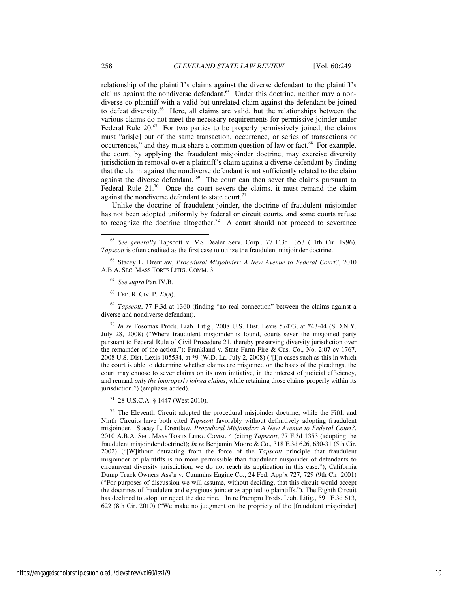relationship of the plaintiff's claims against the diverse defendant to the plaintiff's claims against the nondiverse defendant.<sup>65</sup> Under this doctrine, neither may a nondiverse co-plaintiff with a valid but unrelated claim against the defendant be joined to defeat diversity.<sup>66</sup> Here, all claims are valid, but the relationships between the various claims do not meet the necessary requirements for permissive joinder under Federal Rule  $20<sup>67</sup>$  For two parties to be properly permissively joined, the claims must "aris[e] out of the same transaction, occurrence, or series of transactions or occurrences," and they must share a common question of law or fact.<sup>68</sup> For example, the court, by applying the fraudulent misjoinder doctrine, may exercise diversity jurisdiction in removal over a plaintiff's claim against a diverse defendant by finding that the claim against the nondiverse defendant is not sufficiently related to the claim against the diverse defendant.  $69$  The court can then sever the claims pursuant to Federal Rule  $21.^{70}$  Once the court severs the claims, it must remand the claim against the nondiverse defendant to state court.<sup>71</sup>

Unlike the doctrine of fraudulent joinder, the doctrine of fraudulent misjoinder has not been adopted uniformly by federal or circuit courts, and some courts refuse to recognize the doctrine altogether.<sup>72</sup> A court should not proceed to severance

<sup>66</sup> Stacey L. Drentlaw, *Procedural Misjoinder: A New Avenue to Federal Court?*, 2010 A.B.A. SEC. MASS TORTS LITIG. COMM. 3.

- <sup>67</sup> *See supra* Part IV.B.
- <sup>68</sup> FED. R. CIV. P. 20(a).

<sup>69</sup> *Tapscott*, 77 F.3d at 1360 (finding "no real connection" between the claims against a diverse and nondiverse defendant).

<sup>70</sup> *In re* Fosomax Prods. Liab. Litig., 2008 U.S. Dist. Lexis 57473, at \*43-44 (S.D.N.Y. July 28, 2008) ("Where fraudulent misjoinder is found, courts sever the misjoined party pursuant to Federal Rule of Civil Procedure 21, thereby preserving diversity jurisdiction over the remainder of the action."); Frankland v. State Farm Fire & Cas. Co., No. 2:07-cv-1767, 2008 U.S. Dist. Lexis 105534, at \*9 (W.D. La. July 2, 2008) ("[I]n cases such as this in which the court is able to determine whether claims are misjoined on the basis of the pleadings, the court may choose to sever claims on its own initiative, in the interest of judicial efficiency, and remand *only the improperly joined claims*, while retaining those claims properly within its jurisdiction.") (emphasis added).

<sup>71</sup> 28 U.S.C.A. § 1447 (West 2010).

 $72$  The Eleventh Circuit adopted the procedural misjoinder doctrine, while the Fifth and Ninth Circuits have both cited *Tapscott* favorably without definitively adopting fraudulent misjoinder. Stacey L. Drentlaw, *Procedural Misjoinder: A New Avenue to Federal Court?*, 2010 A.B.A. SEC. MASS TORTS LITIG. COMM. 4 (citing *Tapscott*, 77 F.3d 1353 (adopting the fraudulent misjoinder doctrine)); *In re* Benjamin Moore & Co., 318 F.3d 626, 630-31 (5th Cir. 2002) ("[W]ithout detracting from the force of the *Tapscott* principle that fraudulent misjoinder of plaintiffs is no more permissible than fraudulent misjoinder of defendants to circumvent diversity jurisdiction, we do not reach its application in this case."); California Dump Truck Owners Ass'n v. Cummins Engine Co., 24 Fed. App'x 727, 729 (9th Cir. 2001) ("For purposes of discussion we will assume, without deciding, that this circuit would accept the doctrines of fraudulent and egregious joinder as applied to plaintiffs."). The Eighth Circuit has declined to adopt or reject the doctrine. In re Prempro Prods. Liab. Litig., 591 F.3d 613, 622 (8th Cir. 2010) ("We make no judgment on the propriety of the [fraudulent misjoinder]

j

<sup>65</sup> *See generally* Tapscott v. MS Dealer Serv. Corp., 77 F.3d 1353 (11th Cir. 1996). *Tapscott* is often credited as the first case to utilize the fraudulent misjoinder doctrine.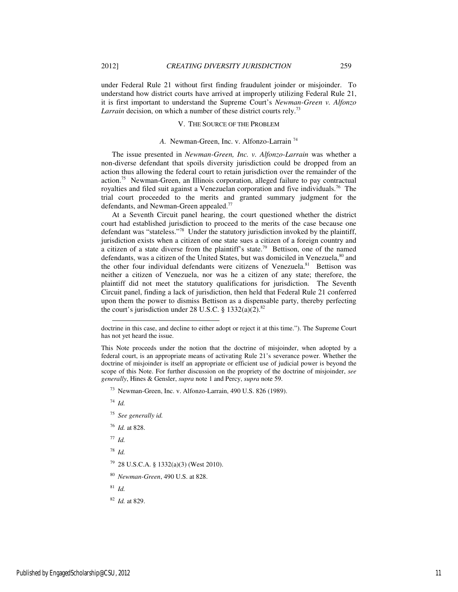under Federal Rule 21 without first finding fraudulent joinder or misjoinder. To understand how district courts have arrived at improperly utilizing Federal Rule 21, it is first important to understand the Supreme Court's *Newman-Green v. Alfonzo Larrain* decision, on which a number of these district courts rely.<sup>73</sup>

## V. THE SOURCE OF THE PROBLEM

## *A.* Newman-Green, Inc. v. Alfonzo-Larrain <sup>74</sup>

The issue presented in *Newman-Green, Inc. v. Alfonzo-Larrain* was whether a non-diverse defendant that spoils diversity jurisdiction could be dropped from an action thus allowing the federal court to retain jurisdiction over the remainder of the action.<sup>75</sup> Newman-Green, an Illinois corporation, alleged failure to pay contractual royalties and filed suit against a Venezuelan corporation and five individuals.<sup>76</sup> The trial court proceeded to the merits and granted summary judgment for the defendants, and Newman-Green appealed.<sup>77</sup>

At a Seventh Circuit panel hearing, the court questioned whether the district court had established jurisdiction to proceed to the merits of the case because one defendant was "stateless."<sup>78</sup> Under the statutory jurisdiction invoked by the plaintiff, jurisdiction exists when a citizen of one state sues a citizen of a foreign country and a citizen of a state diverse from the plaintiff's state.<sup>79</sup> Bettison, one of the named defendants, was a citizen of the United States, but was domiciled in Venezuela,  $80$  and the other four individual defendants were citizens of Venezuela. $81$  Bettison was neither a citizen of Venezuela, nor was he a citizen of any state; therefore, the plaintiff did not meet the statutory qualifications for jurisdiction. The Seventh Circuit panel, finding a lack of jurisdiction, then held that Federal Rule 21 conferred upon them the power to dismiss Bettison as a dispensable party, thereby perfecting the court's jurisdiction under 28 U.S.C.  $\S$  1332(a)(2).<sup>82</sup>

<sup>73</sup> Newman-Green, Inc. v. Alfonzo-Larrain, 490 U.S. 826 (1989).

<sup>74</sup> *Id.*

-

- <sup>75</sup> *See generally id.*
- <sup>76</sup> *Id.* at 828.

<sup>77</sup> *Id.* 

- <sup>78</sup> *Id.*
- <sup>79</sup> 28 U.S.C.A. § 1332(a)(3) (West 2010).
- <sup>80</sup> *Newman-Green*, 490 U.S. at 828.

<sup>81</sup> *Id.* 

<sup>82</sup> *Id.* at 829.

doctrine in this case, and decline to either adopt or reject it at this time."). The Supreme Court has not yet heard the issue.

This Note proceeds under the notion that the doctrine of misjoinder, when adopted by a federal court, is an appropriate means of activating Rule 21's severance power. Whether the doctrine of misjoinder is itself an appropriate or efficient use of judicial power is beyond the scope of this Note. For further discussion on the propriety of the doctrine of misjoinder, *see generally*, Hines & Gensler, *supra* note 1 and Percy, *supra* note 59.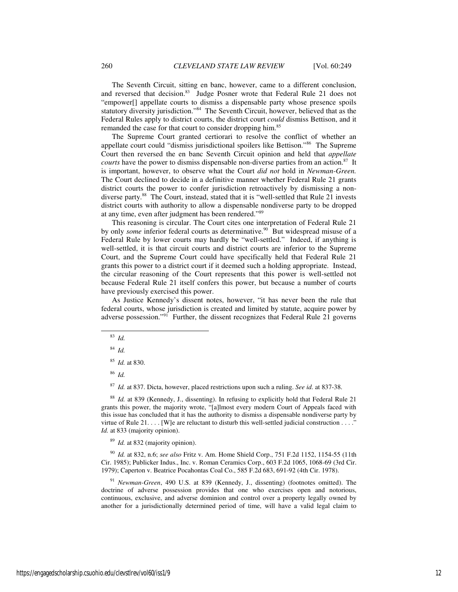The Seventh Circuit, sitting en banc, however, came to a different conclusion, and reversed that decision.<sup>83</sup> Judge Posner wrote that Federal Rule 21 does not "empower[] appellate courts to dismiss a dispensable party whose presence spoils statutory diversity jurisdiction."<sup>84</sup> The Seventh Circuit, however, believed that as the Federal Rules apply to district courts, the district court *could* dismiss Bettison, and it remanded the case for that court to consider dropping him.<sup>85</sup>

The Supreme Court granted certiorari to resolve the conflict of whether an appellate court could "dismiss jurisdictional spoilers like Bettison."<sup>86</sup> The Supreme Court then reversed the en banc Seventh Circuit opinion and held that *appellate courts* have the power to dismiss dispensable non-diverse parties from an action.<sup>87</sup> It is important, however, to observe what the Court *did not* hold in *Newman-Green.* The Court declined to decide in a definitive manner whether Federal Rule 21 grants district courts the power to confer jurisdiction retroactively by dismissing a nondiverse party.<sup>88</sup> The Court, instead, stated that it is "well-settled that Rule 21 invests district courts with authority to allow a dispensable nondiverse party to be dropped at any time, even after judgment has been rendered."<sup>89</sup>

This reasoning is circular. The Court cites one interpretation of Federal Rule 21 by only *some* inferior federal courts as determinative.<sup>90</sup> But widespread misuse of a Federal Rule by lower courts may hardly be "well-settled." Indeed, if anything is well-settled, it is that circuit courts and district courts are inferior to the Supreme Court, and the Supreme Court could have specifically held that Federal Rule 21 grants this power to a district court if it deemed such a holding appropriate. Instead, the circular reasoning of the Court represents that this power is well-settled not because Federal Rule 21 itself confers this power, but because a number of courts have previously exercised this power.

As Justice Kennedy's dissent notes, however, "it has never been the rule that federal courts, whose jurisdiction is created and limited by statute, acquire power by adverse possession."<sup>91</sup> Further, the dissent recognizes that Federal Rule 21 governs

j

<sup>86</sup> *Id.* 

<sup>87</sup> *Id.* at 837. Dicta, however, placed restrictions upon such a ruling. *See id.* at 837-38.

<sup>88</sup> *Id.* at 839 (Kennedy, J., dissenting). In refusing to explicitly hold that Federal Rule 21 grants this power, the majority wrote, "[a]lmost every modern Court of Appeals faced with this issue has concluded that it has the authority to dismiss a dispensable nondiverse party by virtue of Rule 21. . . . [W]e are reluctant to disturb this well-settled judicial construction . . . ." *Id.* at 833 (majority opinion).

<sup>89</sup> *Id.* at 832 (majority opinion).

<sup>90</sup> *Id.* at 832, n.6; *see also* Fritz v. Am. Home Shield Corp., 751 F.2d 1152, 1154-55 (11th Cir. 1985); Publicker Indus., Inc. v. Roman Ceramics Corp., 603 F.2d 1065, 1068-69 (3rd Cir. 1979); Caperton v. Beatrice Pocahontas Coal Co., 585 F.2d 683, 691-92 (4th Cir. 1978).

<sup>91</sup> *Newman-Green*, 490 U.S. at 839 (Kennedy, J., dissenting) (footnotes omitted). The doctrine of adverse possession provides that one who exercises open and notorious, continuous, exclusive, and adverse dominion and control over a property legally owned by another for a jurisdictionally determined period of time, will have a valid legal claim to

<sup>83</sup> *Id.* 

<sup>84</sup> *Id.* 

<sup>85</sup> *Id.* at 830.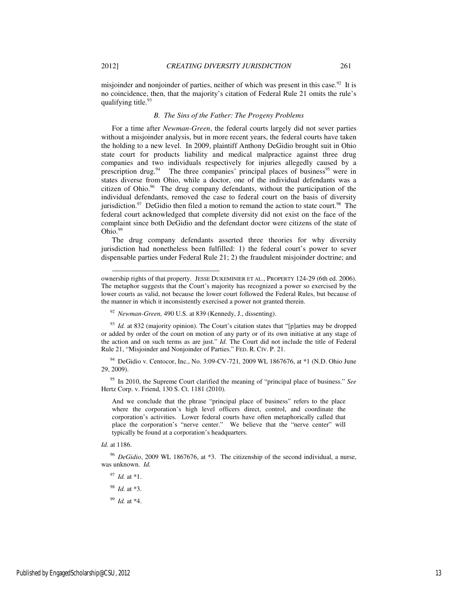misjoinder and nonjoinder of parties, neither of which was present in this case.<sup>92</sup> It is no coincidence, then, that the majority's citation of Federal Rule 21 omits the rule's qualifying title.<sup>93</sup>

## *B. The Sins of the Father: The Progeny Problems*

For a time after *Newman-Green*, the federal courts largely did not sever parties without a misjoinder analysis, but in more recent years, the federal courts have taken the holding to a new level. In 2009, plaintiff Anthony DeGidio brought suit in Ohio state court for products liability and medical malpractice against three drug companies and two individuals respectively for injuries allegedly caused by a prescription drug.<sup>94</sup> The three companies' principal places of business<sup>95</sup> were in states diverse from Ohio, while a doctor, one of the individual defendants was a citizen of Ohio.<sup>96</sup> The drug company defendants, without the participation of the individual defendants, removed the case to federal court on the basis of diversity jurisdiction. $97$  DeGidio then filed a motion to remand the action to state court.<sup>98</sup> The federal court acknowledged that complete diversity did not exist on the face of the complaint since both DeGidio and the defendant doctor were citizens of the state of  $Ohio.<sup>99</sup>$ 

The drug company defendants asserted three theories for why diversity jurisdiction had nonetheless been fulfilled: 1) the federal court's power to sever dispensable parties under Federal Rule 21; 2) the fraudulent misjoinder doctrine; and

<sup>94</sup> DeGidio v. Centocor, Inc., No. 3:09-CV-721, 2009 WL 1867676, at \*1 (N.D. Ohio June 29, 2009).

<sup>95</sup> In 2010, the Supreme Court clarified the meaning of "principal place of business." *See*  Hertz Corp. v. Friend, 130 S. Ct. 1181 (2010).

And we conclude that the phrase "principal place of business" refers to the place where the corporation's high level officers direct, control, and coordinate the corporation's activities. Lower federal courts have often metaphorically called that place the corporation's "nerve center." We believe that the "nerve center" will typically be found at a corporation's headquarters.

l

<sup>96</sup> *DeGidio*, 2009 WL 1867676, at \*3. The citizenship of the second individual, a nurse, was unknown. *Id.*

<sup>97</sup> *Id.* at \*1.

<sup>98</sup> *Id.* at \*3.

<sup>99</sup> *Id.* at \*4.

ownership rights of that property. JESSE DUKEMINIER ET AL., PROPERTY 124-29 (6th ed. 2006). The metaphor suggests that the Court's majority has recognized a power so exercised by the lower courts as valid, not because the lower court followed the Federal Rules, but because of the manner in which it inconsistently exercised a power not granted therein.

<sup>92</sup> *Newman-Green,* 490 U.S. at 839 (Kennedy, J., dissenting).

<sup>&</sup>lt;sup>93</sup> *Id.* at 832 (majority opinion). The Court's citation states that "[p]arties may be dropped or added by order of the court on motion of any party or of its own initiative at any stage of the action and on such terms as are just." *Id.* The Court did not include the title of Federal Rule 21, "Misjoinder and Nonjoinder of Parties." FED. R. CIV. P. 21.

*Id.* at 1186.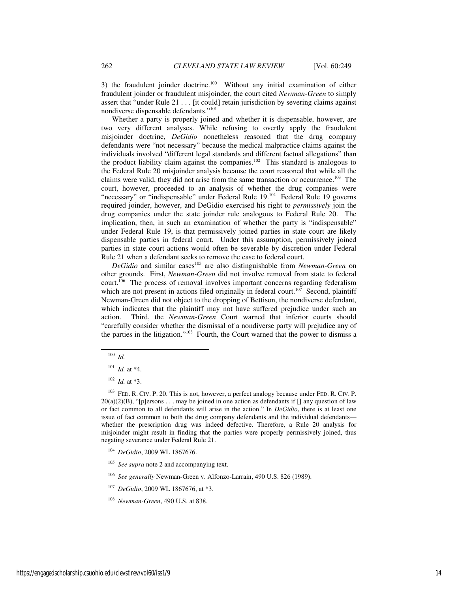3) the fraudulent joinder doctrine.<sup>100</sup> Without any initial examination of either fraudulent joinder or fraudulent misjoinder, the court cited *Newman-Green* to simply assert that "under Rule 21 . . . [it could] retain jurisdiction by severing claims against nondiverse dispensable defendants."<sup>101</sup>

Whether a party is properly joined and whether it is dispensable, however, are two very different analyses. While refusing to overtly apply the fraudulent misjoinder doctrine, *DeGidio* nonetheless reasoned that the drug company defendants were "not necessary" because the medical malpractice claims against the individuals involved "different legal standards and different factual allegations" than the product liability claim against the companies.<sup>102</sup> This standard is analogous to the Federal Rule 20 misjoinder analysis because the court reasoned that while all the claims were valid, they did not arise from the same transaction or occurrence.<sup>103</sup> The court, however, proceeded to an analysis of whether the drug companies were "necessary" or "indispensable" under Federal Rule 19.<sup>104</sup> Federal Rule 19 governs required joinder, however, and DeGidio exercised his right to *permissively* join the drug companies under the state joinder rule analogous to Federal Rule 20. The implication, then, in such an examination of whether the party is "indispensable" under Federal Rule 19, is that permissively joined parties in state court are likely dispensable parties in federal court. Under this assumption, permissively joined parties in state court actions would often be severable by discretion under Federal Rule 21 when a defendant seeks to remove the case to federal court.

*DeGidio* and similar cases<sup>105</sup> are also distinguishable from *Newman-Green* on other grounds. First, *Newman-Green* did not involve removal from state to federal court.<sup>106</sup> The process of removal involves important concerns regarding federalism which are not present in actions filed originally in federal court.<sup>107</sup> Second, plaintiff Newman-Green did not object to the dropping of Bettison, the nondiverse defendant, which indicates that the plaintiff may not have suffered prejudice under such an action. Third, the *Newman-Green* Court warned that inferior courts should "carefully consider whether the dismissal of a nondiverse party will prejudice any of the parties in the litigation."<sup>108</sup> Fourth, the Court warned that the power to dismiss a

-

<sup>100</sup> *Id.* 

<sup>101</sup> *Id.* at \*4.

 $102$  *Id.* at \*3.

<sup>&</sup>lt;sup>103</sup> FED. R. CIV. P. 20. This is not, however, a perfect analogy because under FED. R. CIV. P.  $20(a)(2)(B)$ , "[p]ersons . . . may be joined in one action as defendants if [] any question of law or fact common to all defendants will arise in the action." In *DeGidio*, there is at least one issue of fact common to both the drug company defendants and the individual defendants whether the prescription drug was indeed defective. Therefore, a Rule 20 analysis for misjoinder might result in finding that the parties were properly permissively joined, thus negating severance under Federal Rule 21.

<sup>104</sup> *DeGidio*, 2009 WL 1867676.

<sup>&</sup>lt;sup>105</sup> *See supra* note 2 and accompanying text.

<sup>106</sup> *See generally* Newman-Green v. Alfonzo-Larrain, 490 U.S. 826 (1989).

<sup>107</sup> *DeGidio*, 2009 WL 1867676, at \*3.

<sup>108</sup> *Newman-Green*, 490 U.S. at 838.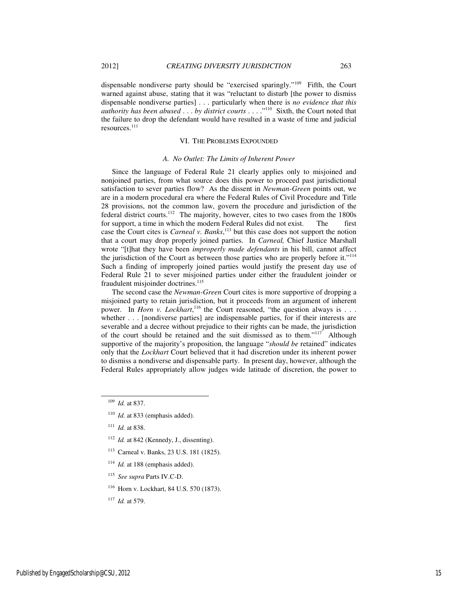dispensable nondiverse party should be "exercised sparingly."<sup>109</sup> Fifth, the Court warned against abuse, stating that it was "reluctant to disturb [the power to dismiss dispensable nondiverse parties] . . . particularly when there is *no evidence that this authority has been abused* . . . *by district courts* . . . ."<sup>110</sup> Sixth, the Court noted that the failure to drop the defendant would have resulted in a waste of time and judicial resources.<sup>111</sup>

## VI. THE PROBLEMS EXPOUNDED

#### *A. No Outlet: The Limits of Inherent Power*

Since the language of Federal Rule 21 clearly applies only to misjoined and nonjoined parties, from what source does this power to proceed past jurisdictional satisfaction to sever parties flow? As the dissent in *Newman-Green* points out, we are in a modern procedural era where the Federal Rules of Civil Procedure and Title 28 provisions, not the common law, govern the procedure and jurisdiction of the federal district courts.<sup>112</sup> The majority, however, cites to two cases from the 1800s for support, a time in which the modern Federal Rules did not exist. The first case the Court cites is *Carneal v. Banks*, <sup>113</sup> but this case does not support the notion that a court may drop properly joined parties. In *Carneal,* Chief Justice Marshall wrote "[t]hat they have been *improperly made defendants* in his bill, cannot affect the jurisdiction of the Court as between those parties who are properly before it."<sup>114</sup> Such a finding of improperly joined parties would justify the present day use of Federal Rule 21 to sever misjoined parties under either the fraudulent joinder or fraudulent misjoinder doctrines.<sup>115</sup>

The second case the *Newman-Green* Court cites is more supportive of dropping a misjoined party to retain jurisdiction, but it proceeds from an argument of inherent power. In *Horn v. Lockhart*,<sup>116</sup> the Court reasoned, "the question always is . . . whether . . . [nondiverse parties] are indispensable parties, for if their interests are severable and a decree without prejudice to their rights can be made, the jurisdiction of the court should be retained and the suit dismissed as to them."<sup>117</sup> Although supportive of the majority's proposition, the language "*should be* retained" indicates only that the *Lockhart* Court believed that it had discretion under its inherent power to dismiss a nondiverse and dispensable party. In present day, however, although the Federal Rules appropriately allow judges wide latitude of discretion, the power to

l

- <sup>112</sup> *Id.* at 842 (Kennedy, J., dissenting).
- <sup>113</sup> Carneal v. Banks, 23 U.S. 181 (1825).
- <sup>114</sup> *Id.* at 188 (emphasis added).
- <sup>115</sup> *See supra* Parts IV.C-D.
- <sup>116</sup> Horn v. Lockhart, 84 U.S. 570 (1873).
- <sup>117</sup> *Id.* at 579.

<sup>109</sup> *Id.* at 837.

<sup>&</sup>lt;sup>110</sup> *Id.* at 833 (emphasis added).

<sup>111</sup> *Id.* at 838.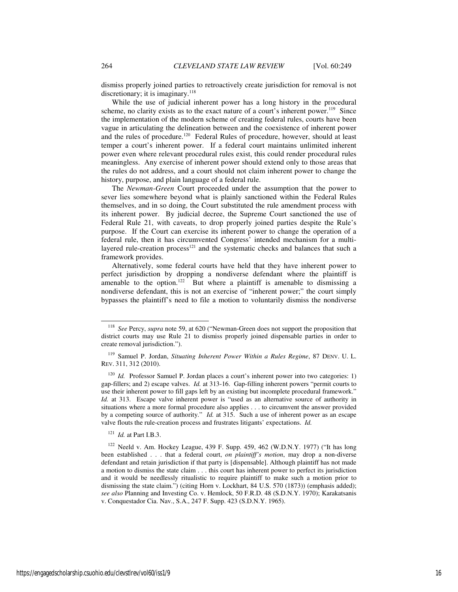dismiss properly joined parties to retroactively create jurisdiction for removal is not discretionary; it is imaginary. $118$ 

While the use of judicial inherent power has a long history in the procedural scheme, no clarity exists as to the exact nature of a court's inherent power.<sup>119</sup> Since the implementation of the modern scheme of creating federal rules, courts have been vague in articulating the delineation between and the coexistence of inherent power and the rules of procedure.<sup>120</sup> Federal Rules of procedure, however, should at least temper a court's inherent power. If a federal court maintains unlimited inherent power even where relevant procedural rules exist, this could render procedural rules meaningless. Any exercise of inherent power should extend only to those areas that the rules do not address, and a court should not claim inherent power to change the history, purpose, and plain language of a federal rule.

The *Newman-Green* Court proceeded under the assumption that the power to sever lies somewhere beyond what is plainly sanctioned within the Federal Rules themselves, and in so doing, the Court substituted the rule amendment process with its inherent power. By judicial decree, the Supreme Court sanctioned the use of Federal Rule 21, with caveats, to drop properly joined parties despite the Rule's purpose. If the Court can exercise its inherent power to change the operation of a federal rule, then it has circumvented Congress' intended mechanism for a multilayered rule-creation process $121$  and the systematic checks and balances that such a framework provides.

Alternatively, some federal courts have held that they have inherent power to perfect jurisdiction by dropping a nondiverse defendant where the plaintiff is amenable to the option.<sup>122</sup> But where a plaintiff is amenable to dismissing a nondiverse defendant, this is not an exercise of "inherent power;" the court simply bypasses the plaintiff's need to file a motion to voluntarily dismiss the nondiverse

<sup>121</sup> *Id.* at Part I.B.3.

l

<sup>118</sup> *See* Percy, *supra* note 59, at 620 ("Newman-Green does not support the proposition that district courts may use Rule 21 to dismiss properly joined dispensable parties in order to create removal jurisdiction.").

<sup>119</sup> Samuel P. Jordan, *Situating Inherent Power Within a Rules Regime*, 87 DENV. U. L. REV. 311, 312 (2010).

<sup>&</sup>lt;sup>120</sup> *Id.* Professor Samuel P. Jordan places a court's inherent power into two categories: 1) gap-fillers; and 2) escape valves. *Id.* at 313-16. Gap-filling inherent powers "permit courts to use their inherent power to fill gaps left by an existing but incomplete procedural framework." *Id.* at 313. Escape valve inherent power is "used as an alternative source of authority in situations where a more formal procedure also applies . . . to circumvent the answer provided by a competing source of authority." *Id.* at 315. Such a use of inherent power as an escape valve flouts the rule-creation process and frustrates litigants' expectations. *Id.* 

<sup>&</sup>lt;sup>122</sup> Neeld v. Am. Hockey League, 439 F. Supp. 459, 462 (W.D.N.Y. 1977) ("It has long been established . . . that a federal court, *on plaintiff's motion*, may drop a non-diverse defendant and retain jurisdiction if that party is [dispensable]. Although plaintiff has not made a motion to dismiss the state claim . . . this court has inherent power to perfect its jurisdiction and it would be needlessly ritualistic to require plaintiff to make such a motion prior to dismissing the state claim.") (citing Horn v. Lockhart, 84 U.S. 570 (1873)) (emphasis added); *see also* Planning and Investing Co. v. Hemlock, 50 F.R.D. 48 (S.D.N.Y. 1970); Karakatsanis v. Conquestador Cia. Nav., S.A., 247 F. Supp. 423 (S.D.N.Y. 1965).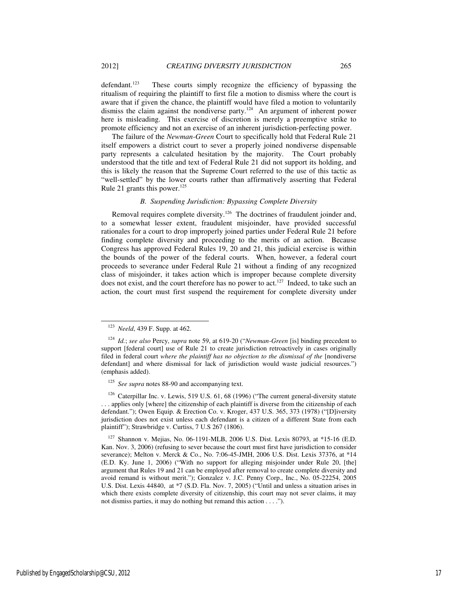defendant.<sup>123</sup> These courts simply recognize the efficiency of bypassing the ritualism of requiring the plaintiff to first file a motion to dismiss where the court is aware that if given the chance, the plaintiff would have filed a motion to voluntarily dismiss the claim against the nondiverse party.<sup>124</sup> An argument of inherent power here is misleading. This exercise of discretion is merely a preemptive strike to promote efficiency and not an exercise of an inherent jurisdiction-perfecting power.

The failure of the *Newman-Green* Court to specifically hold that Federal Rule 21 itself empowers a district court to sever a properly joined nondiverse dispensable party represents a calculated hesitation by the majority. The Court probably understood that the title and text of Federal Rule 21 did not support its holding, and this is likely the reason that the Supreme Court referred to the use of this tactic as "well-settled" by the lower courts rather than affirmatively asserting that Federal Rule 21 grants this power.<sup>125</sup>

## *B. Suspending Jurisdiction: Bypassing Complete Diversity*

Removal requires complete diversity.<sup>126</sup> The doctrines of fraudulent joinder and, to a somewhat lesser extent, fraudulent misjoinder, have provided successful rationales for a court to drop improperly joined parties under Federal Rule 21 before finding complete diversity and proceeding to the merits of an action. Because Congress has approved Federal Rules 19, 20 and 21, this judicial exercise is within the bounds of the power of the federal courts. When, however, a federal court proceeds to severance under Federal Rule 21 without a finding of any recognized class of misjoinder, it takes action which is improper because complete diversity does not exist, and the court therefore has no power to act.<sup>127</sup> Indeed, to take such an action, the court must first suspend the requirement for complete diversity under

l

<sup>125</sup> *See supra* notes 88-90 and accompanying text.

<sup>126</sup> Caterpillar Inc. v. Lewis, 519 U.S. 61, 68 (1996) ("The current general-diversity statute . . . applies only [where] the citizenship of each plaintiff is diverse from the citizenship of each defendant."); Owen Equip. & Erection Co. v. Kroger, 437 U.S. 365, 373 (1978) ("[D]iversity jurisdiction does not exist unless each defendant is a citizen of a different State from each plaintiff"); Strawbridge v. Curtiss, 7 U.S 267 (1806).

<sup>127</sup> Shannon v. Mejias, No. 06-1191-MLB, 2006 U.S. Dist. Lexis 80793, at \*15-16 (E.D. Kan. Nov. 3, 2006) (refusing to sever because the court must first have jurisdiction to consider severance); Melton v. Merck & Co., No. 7:06-45-JMH, 2006 U.S. Dist. Lexis 37376, at \*14 (E.D. Ky. June 1, 2006) ("With no support for alleging misjoinder under Rule 20, [the] argument that Rules 19 and 21 can be employed after removal to create complete diversity and avoid remand is without merit."); Gonzalez v. J.C. Penny Corp., Inc., No. 05-22254, 2005 U.S. Dist. Lexis 44840, at \*7 (S.D. Fla. Nov. 7, 2005) ("Until and unless a situation arises in which there exists complete diversity of citizenship, this court may not sever claims, it may not dismiss parties, it may do nothing but remand this action . . . .").

<sup>123</sup> *Neeld*, 439 F. Supp. at 462.

<sup>124</sup> *Id.*; *see also* Percy, *supra* note 59, at 619-20 ("*Newman-Green* [is] binding precedent to support [federal court] use of Rule 21 to create jurisdiction retroactively in cases originally filed in federal court *where the plaintiff has no objection to the dismissal of the* [nondiverse defendant] and where dismissal for lack of jurisdiction would waste judicial resources.") (emphasis added).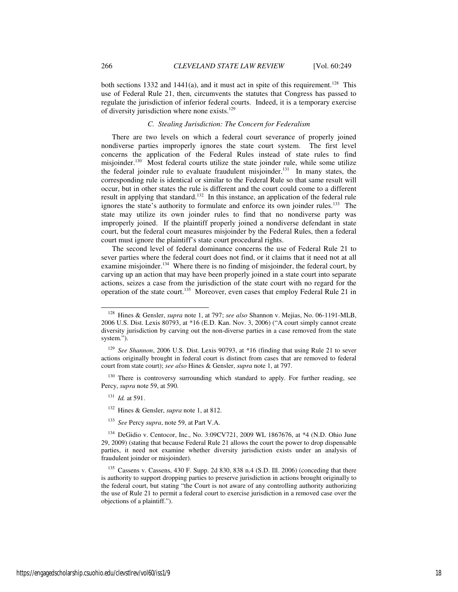both sections 1332 and 1441(a), and it must act in spite of this requirement.<sup>128</sup> This use of Federal Rule 21, then, circumvents the statutes that Congress has passed to regulate the jurisdiction of inferior federal courts. Indeed, it is a temporary exercise of diversity jurisdiction where none exists.<sup>129</sup>

### *C. Stealing Jurisdiction: The Concern for Federalism*

There are two levels on which a federal court severance of properly joined nondiverse parties improperly ignores the state court system. The first level concerns the application of the Federal Rules instead of state rules to find misjoinder.<sup>130</sup> Most federal courts utilize the state joinder rule, while some utilize the federal joinder rule to evaluate fraudulent misjoinder.<sup>131</sup> In many states, the corresponding rule is identical or similar to the Federal Rule so that same result will occur, but in other states the rule is different and the court could come to a different result in applying that standard.<sup>132</sup> In this instance, an application of the federal rule ignores the state's authority to formulate and enforce its own joinder rules.<sup>133</sup> The state may utilize its own joinder rules to find that no nondiverse party was improperly joined. If the plaintiff properly joined a nondiverse defendant in state court, but the federal court measures misjoinder by the Federal Rules, then a federal court must ignore the plaintiff's state court procedural rights.

The second level of federal dominance concerns the use of Federal Rule 21 to sever parties where the federal court does not find, or it claims that it need not at all examine misjoinder.<sup>134</sup> Where there is no finding of misjoinder, the federal court, by carving up an action that may have been properly joined in a state court into separate actions, seizes a case from the jurisdiction of the state court with no regard for the operation of the state court.<sup>135</sup> Moreover, even cases that employ Federal Rule 21 in

<sup>130</sup> There is controversy surrounding which standard to apply. For further reading, see Percy, *supra* note 59, at 590.

<sup>131</sup> *Id.* at 591.

l

<sup>133</sup> *See* Percy *supra*, note 59, at Part V.A.

<sup>128</sup> Hines & Gensler, *supra* note 1, at 797; *see also* Shannon v. Mejias, No. 06-1191-MLB, 2006 U.S. Dist. Lexis 80793, at \*16 (E.D. Kan. Nov. 3, 2006) ("A court simply cannot create diversity jurisdiction by carving out the non-diverse parties in a case removed from the state system.").

<sup>129</sup> *See Shannon*, 2006 U.S. Dist. Lexis 90793, at \*16 (finding that using Rule 21 to sever actions originally brought in federal court is distinct from cases that are removed to federal court from state court); *see also* Hines & Gensler, *supra* note 1, at 797.

<sup>132</sup> Hines & Gensler, *supra* note 1, at 812.

<sup>134</sup> DeGidio v. Centocor, Inc., No. 3:09CV721, 2009 WL 1867676, at \*4 (N.D. Ohio June 29, 2009) (stating that because Federal Rule 21 allows the court the power to drop dispensable parties, it need not examine whether diversity jurisdiction exists under an analysis of fraudulent joinder or misjoinder).

<sup>135</sup> Cassens v. Cassens, 430 F. Supp. 2d 830, 838 n.4 (S.D. Ill. 2006) (conceding that there is authority to support dropping parties to preserve jurisdiction in actions brought originally to the federal court, but stating "the Court is not aware of any controlling authority authorizing the use of Rule 21 to permit a federal court to exercise jurisdiction in a removed case over the objections of a plaintiff.").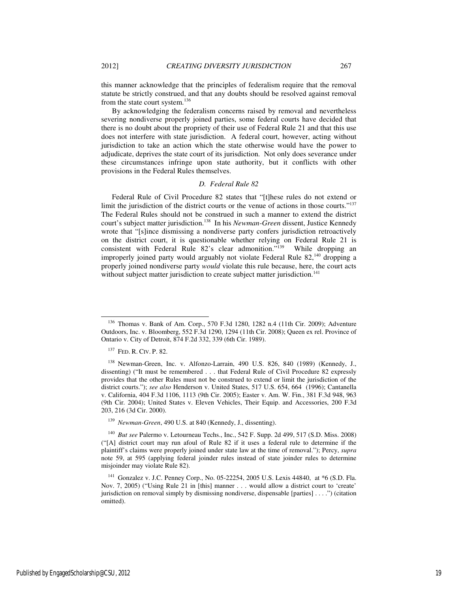this manner acknowledge that the principles of federalism require that the removal statute be strictly construed, and that any doubts should be resolved against removal from the state court system.<sup>136</sup>

By acknowledging the federalism concerns raised by removal and nevertheless severing nondiverse properly joined parties, some federal courts have decided that there is no doubt about the propriety of their use of Federal Rule 21 and that this use does not interfere with state jurisdiction. A federal court, however, acting without jurisdiction to take an action which the state otherwise would have the power to adjudicate, deprives the state court of its jurisdiction. Not only does severance under these circumstances infringe upon state authority, but it conflicts with other provisions in the Federal Rules themselves.

## *D. Federal Rule 82*

Federal Rule of Civil Procedure 82 states that "[t]hese rules do not extend or limit the jurisdiction of the district courts or the venue of actions in those courts."<sup>137</sup> The Federal Rules should not be construed in such a manner to extend the district court's subject matter jurisdiction.<sup>138</sup> In his *Newman-Green* dissent, Justice Kennedy wrote that "[s]ince dismissing a nondiverse party confers jurisdiction retroactively on the district court, it is questionable whether relying on Federal Rule 21 is consistent with Federal Rule 82's clear admonition."<sup>139</sup> While dropping an improperly joined party would arguably not violate Federal Rule 82,<sup>140</sup> dropping a properly joined nondiverse party *would* violate this rule because, here, the court acts without subject matter jurisdiction to create subject matter jurisdiction.<sup>141</sup>

l

<sup>136</sup> Thomas v. Bank of Am. Corp., 570 F.3d 1280, 1282 n.4 (11th Cir. 2009); Adventure Outdoors, Inc. v. Bloomberg, 552 F.3d 1290, 1294 (11th Cir. 2008); Queen ex rel. Province of Ontario v. City of Detroit, 874 F.2d 332, 339 (6th Cir. 1989).

<sup>137</sup> FED. R. CIV. P. 82.

<sup>138</sup> Newman-Green, Inc. v. Alfonzo-Larrain, 490 U.S. 826, 840 (1989) (Kennedy, J., dissenting) ("It must be remembered . . . that Federal Rule of Civil Procedure 82 expressly provides that the other Rules must not be construed to extend or limit the jurisdiction of the district courts."); *see also* Henderson v. United States, 517 U.S. 654, 664 (1996); Cantanella v. California, 404 F.3d 1106, 1113 (9th Cir. 2005); Easter v. Am. W. Fin., 381 F.3d 948, 963 (9th Cir. 2004); United States v. Eleven Vehicles, Their Equip. and Accessories, 200 F.3d 203, 216 (3d Cir. 2000).

<sup>139</sup> *Newman-Green*, 490 U.S. at 840 (Kennedy, J., dissenting).

<sup>140</sup> *But see* Palermo v. Letourneau Techs., Inc., 542 F. Supp. 2d 499, 517 (S.D. Miss. 2008) ("[A] district court may run afoul of Rule 82 if it uses a federal rule to determine if the plaintiff's claims were properly joined under state law at the time of removal."); Percy, *supra*  note 59, at 595 (applying federal joinder rules instead of state joinder rules to determine misjoinder may violate Rule 82).

<sup>141</sup> Gonzalez v. J.C. Penney Corp., No. 05-22254, 2005 U.S. Lexis 44840, at \*6 (S.D. Fla. Nov. 7, 2005) ("Using Rule 21 in [this] manner . . . would allow a district court to 'create' jurisdiction on removal simply by dismissing nondiverse, dispensable [parties] . . . .") (citation omitted).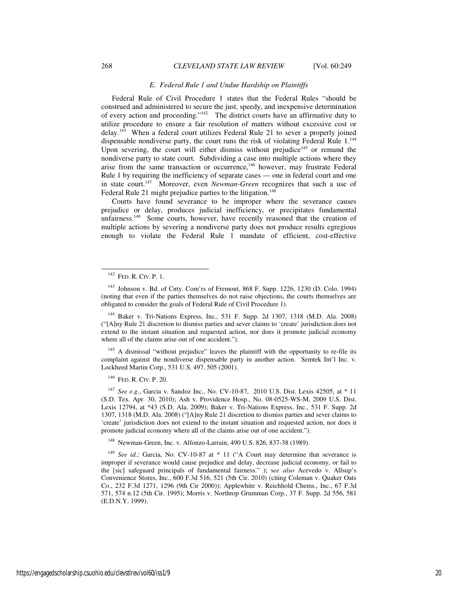#### *E. Federal Rule 1 and Undue Hardship on Plaintiffs*

Federal Rule of Civil Procedure 1 states that the Federal Rules "should be construed and administered to secure the just, speedy, and inexpensive determination of every action and proceeding."<sup>142</sup> The district courts have an affirmative duty to utilize procedure to ensure a fair resolution of matters without excessive cost or  $delav.<sup>143</sup>$  When a federal court utilizes Federal Rule 21 to sever a properly joined dispensable nondiverse party, the court runs the risk of violating Federal Rule 1.<sup>144</sup> Upon severing, the court will either dismiss without prejudice<sup>145</sup> or remand the nondiverse party to state court. Subdividing a case into multiple actions where they arise from the same transaction or occurrence,<sup>146</sup> however, may frustrate Federal Rule 1 by requiring the inefficiency of separate cases — one in federal court and one in state court.<sup>147</sup> Moreover, even *Newman-Green* recognizes that such a use of Federal Rule 21 might prejudice parties to the litigation.<sup>148</sup>

Courts have found severance to be improper where the severance causes prejudice or delay, produces judicial inefficiency, or precipitates fundamental unfairness.<sup>149</sup> Some courts, however, have recently reasoned that the creation of multiple actions by severing a nondiverse party does not produce results egregious enough to violate the Federal Rule 1 mandate of efficient, cost-effective

l

<sup>144</sup> Baker v. Tri-Nations Express, Inc., 531 F. Supp. 2d 1307, 1318 (M.D. Ala. 2008) ("[A]ny Rule 21 discretion to dismiss parties and sever claims to 'create' jurisdiction does not extend to the instant situation and requested action, nor does it promote judicial economy where all of the claims arise out of one accident.").

<sup>145</sup> A dismissal "without prejudice" leaves the plaintiff with the opportunity to re-file its complaint against the nondiverse dispensable party in another action. Semtek Int'l Inc. v. Lockheed Martin Corp., 531 U.S. 497, 505 (2001).

<sup>146</sup> FED. R. CIV. P. 20.

<sup>147</sup> *See e.g.*, Garcia v. Sandoz Inc., No. CV-10-87, 2010 U.S. Dist. Lexis 42505, at \* 11 (S.D. Tex. Apr. 30, 2010); Ash v. Providence Hosp., No. 08-0525-WS-M, 2009 U.S. Dist. Lexis 12794, at \*43 (S.D. Ala. 2009); Baker v. Tri-Nations Express, Inc., 531 F. Supp. 2d 1307, 1318 (M.D. Ala. 2008) ("[A]ny Rule 21 discretion to dismiss parties and sever claims to 'create' jurisdiction does not extend to the instant situation and requested action, nor does it promote judicial economy where all of the claims arise out of one accident.").

<sup>148</sup> Newman-Green, Inc. v. Alfonzo-Larrain, 490 U.S. 826, 837-38 (1989).

<sup>149</sup> *See id.*; Garcia, No. CV-10-87 at \* 11 ("A Court may determine that severance is improper if severance would cause prejudice and delay, decrease judicial economy, or fail to the [sic] safeguard principals of fundamental fairness." ); s*ee also* Acevedo v. Allsup's Convenience Stores, Inc., 600 F.3d 516, 521 (5th Cir. 2010) (citing Coleman v. Quaker Oats Co., 232 F.3d 1271, 1296 (9th Cir 2000)); Applewhite v. Reichhold Chems., Inc., 67 F.3d 571, 574 n.12 (5th Cir. 1995); Morris v. Northrop Grumman Corp., 37 F. Supp. 2d 556, 581 (E.D.N.Y. 1999).

<sup>142</sup> FED. R. CIV. P. 1.

 $143$  Johnson v. Bd. of Cnty. Com'rs of Fremont, 868 F. Supp. 1226, 1230 (D. Colo. 1994) (noting that even if the parties themselves do not raise objections, the courts themselves are obligated to consider the goals of Federal Rule of Civil Procedure 1).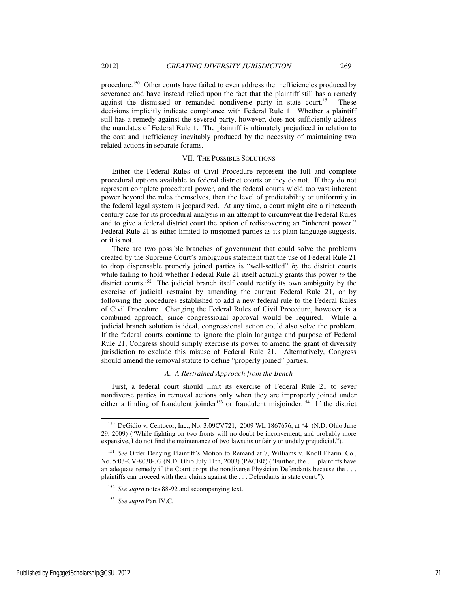procedure.<sup>150</sup> Other courts have failed to even address the inefficiencies produced by severance and have instead relied upon the fact that the plaintiff still has a remedy against the dismissed or remanded nondiverse party in state court.<sup>151</sup> These decisions implicitly indicate compliance with Federal Rule 1. Whether a plaintiff still has a remedy against the severed party, however, does not sufficiently address the mandates of Federal Rule 1. The plaintiff is ultimately prejudiced in relation to the cost and inefficiency inevitably produced by the necessity of maintaining two related actions in separate forums.

#### VII. THE POSSIBLE SOLUTIONS

Either the Federal Rules of Civil Procedure represent the full and complete procedural options available to federal district courts or they do not. If they do not represent complete procedural power, and the federal courts wield too vast inherent power beyond the rules themselves, then the level of predictability or uniformity in the federal legal system is jeopardized. At any time, a court might cite a nineteenth century case for its procedural analysis in an attempt to circumvent the Federal Rules and to give a federal district court the option of rediscovering an "inherent power." Federal Rule 21 is either limited to misjoined parties as its plain language suggests, or it is not.

There are two possible branches of government that could solve the problems created by the Supreme Court's ambiguous statement that the use of Federal Rule 21 to drop dispensable properly joined parties is "well-settled" *by* the district courts while failing to hold whether Federal Rule 21 itself actually grants this power *to* the district courts.<sup>152</sup> The judicial branch itself could rectify its own ambiguity by the exercise of judicial restraint by amending the current Federal Rule 21, or by following the procedures established to add a new federal rule to the Federal Rules of Civil Procedure. Changing the Federal Rules of Civil Procedure, however, is a combined approach, since congressional approval would be required. While a judicial branch solution is ideal, congressional action could also solve the problem. If the federal courts continue to ignore the plain language and purpose of Federal Rule 21, Congress should simply exercise its power to amend the grant of diversity jurisdiction to exclude this misuse of Federal Rule 21. Alternatively, Congress should amend the removal statute to define "properly joined" parties.

## *A. A Restrained Approach from the Bench*

First, a federal court should limit its exercise of Federal Rule 21 to sever nondiverse parties in removal actions only when they are improperly joined under either a finding of fraudulent joinder<sup>153</sup> or fraudulent misjoinder.<sup>154</sup> If the district

l

<sup>&</sup>lt;sup>150</sup> DeGidio v. Centocor, Inc., No. 3:09CV721, 2009 WL 1867676, at \*4 (N.D. Ohio June 29, 2009) ("While fighting on two fronts will no doubt be inconvenient, and probably more expensive, I do not find the maintenance of two lawsuits unfairly or unduly prejudicial.").

<sup>&</sup>lt;sup>151</sup> See Order Denying Plaintiff's Motion to Remand at 7, Williams v. Knoll Pharm. Co., No. 5:03-CV-8030-JG (N.D. Ohio July 11th, 2003) (PACER) ("Further, the . . . plaintiffs have an adequate remedy if the Court drops the nondiverse Physician Defendants because the . . . plaintiffs can proceed with their claims against the . . . Defendants in state court.").

<sup>152</sup> *See supra* notes 88-92 and accompanying text.

<sup>153</sup> *See supra* Part IV.C.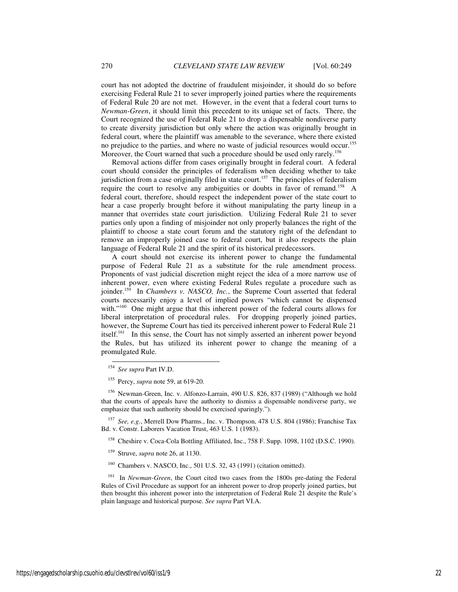court has not adopted the doctrine of fraudulent misjoinder, it should do so before exercising Federal Rule 21 to sever improperly joined parties where the requirements of Federal Rule 20 are not met. However, in the event that a federal court turns to *Newman-Green*, it should limit this precedent to its unique set of facts. There, the Court recognized the use of Federal Rule 21 to drop a dispensable nondiverse party to create diversity jurisdiction but only where the action was originally brought in federal court, where the plaintiff was amenable to the severance, where there existed no prejudice to the parties, and where no waste of judicial resources would occur.<sup>155</sup> Moreover, the Court warned that such a procedure should be used only rarely.<sup>156</sup>

Removal actions differ from cases originally brought in federal court. A federal court should consider the principles of federalism when deciding whether to take jurisdiction from a case originally filed in state court.<sup>157</sup> The principles of federalism require the court to resolve any ambiguities or doubts in favor of remand.<sup>158</sup> A federal court, therefore, should respect the independent power of the state court to hear a case properly brought before it without manipulating the party lineup in a manner that overrides state court jurisdiction. Utilizing Federal Rule 21 to sever parties only upon a finding of misjoinder not only properly balances the right of the plaintiff to choose a state court forum and the statutory right of the defendant to remove an improperly joined case to federal court, but it also respects the plain language of Federal Rule 21 and the spirit of its historical predecessors.

A court should not exercise its inherent power to change the fundamental purpose of Federal Rule 21 as a substitute for the rule amendment process. Proponents of vast judicial discretion might reject the idea of a more narrow use of inherent power, even where existing Federal Rules regulate a procedure such as joinder.<sup>159</sup> In *Chambers v. NASCO, Inc.*, the Supreme Court asserted that federal courts necessarily enjoy a level of implied powers "which cannot be dispensed with."<sup>160</sup> One might argue that this inherent power of the federal courts allows for liberal interpretation of procedural rules. For dropping properly joined parties, however, the Supreme Court has tied its perceived inherent power to Federal Rule 21 itself.<sup>161</sup> In this sense, the Court has not simply asserted an inherent power beyond the Rules, but has utilized its inherent power to change the meaning of a promulgated Rule.

-

<sup>158</sup> Cheshire v. Coca-Cola Bottling Affiliated, Inc., 758 F. Supp. 1098, 1102 (D.S.C. 1990).

- <sup>159</sup> Struve, *supra* note 26, at 1130.
- <sup>160</sup> Chambers v. NASCO, Inc., 501 U.S. 32, 43 (1991) (citation omitted).

<sup>161</sup> In *Newman-Green*, the Court cited two cases from the 1800s pre-dating the Federal Rules of Civil Procedure as support for an inherent power to drop properly joined parties, but then brought this inherent power into the interpretation of Federal Rule 21 despite the Rule's plain language and historical purpose. *See supra* Part VI.A.

<sup>154</sup> *See supra* Part IV.D.

<sup>155</sup> Percy, *supra* note 59, at 619-20.

<sup>156</sup> Newman-Green, Inc. v. Alfonzo-Larrain, 490 U.S. 826, 837 (1989) ("Although we hold that the courts of appeals have the authority to dismiss a dispensable nondiverse party, we emphasize that such authority should be exercised sparingly.").

<sup>157</sup> *See, e.g.*, Merrell Dow Pharms., Inc. v. Thompson, 478 U.S. 804 (1986); Franchise Tax Bd. v. Constr. Laborers Vacation Trust, 463 U.S. 1 (1983).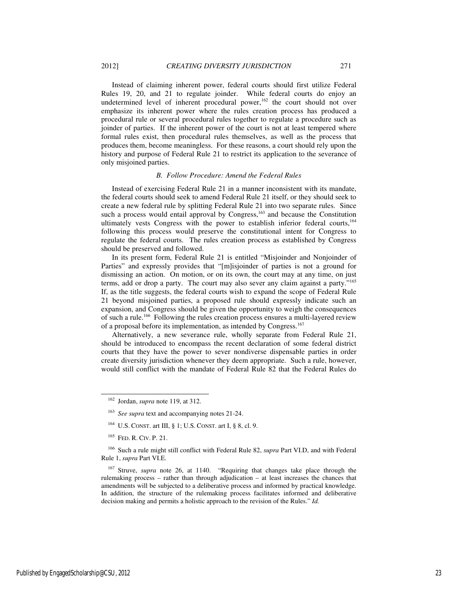Instead of claiming inherent power, federal courts should first utilize Federal Rules 19, 20, and 21 to regulate joinder. While federal courts do enjoy an undetermined level of inherent procedural power, $162$  the court should not over emphasize its inherent power where the rules creation process has produced a procedural rule or several procedural rules together to regulate a procedure such as joinder of parties. If the inherent power of the court is not at least tempered where formal rules exist, then procedural rules themselves, as well as the process that produces them, become meaningless. For these reasons, a court should rely upon the history and purpose of Federal Rule 21 to restrict its application to the severance of only misjoined parties.

#### *B. Follow Procedure: Amend the Federal Rules*

Instead of exercising Federal Rule 21 in a manner inconsistent with its mandate, the federal courts should seek to amend Federal Rule 21 itself, or they should seek to create a new federal rule by splitting Federal Rule 21 into two separate rules. Since such a process would entail approval by Congress, $163$  and because the Constitution ultimately vests Congress with the power to establish inferior federal courts,<sup>164</sup> following this process would preserve the constitutional intent for Congress to regulate the federal courts. The rules creation process as established by Congress should be preserved and followed.

In its present form, Federal Rule 21 is entitled "Misjoinder and Nonjoinder of Parties" and expressly provides that "[m]isjoinder of parties is not a ground for dismissing an action. On motion, or on its own, the court may at any time, on just terms, add or drop a party. The court may also sever any claim against a party."<sup>165</sup> If, as the title suggests, the federal courts wish to expand the scope of Federal Rule 21 beyond misjoined parties, a proposed rule should expressly indicate such an expansion, and Congress should be given the opportunity to weigh the consequences of such a rule.<sup>166</sup> Following the rules creation process ensures a multi-layered review of a proposal before its implementation, as intended by Congress.<sup>167</sup>

Alternatively, a new severance rule, wholly separate from Federal Rule 21, should be introduced to encompass the recent declaration of some federal district courts that they have the power to sever nondiverse dispensable parties in order create diversity jurisdiction whenever they deem appropriate. Such a rule, however, would still conflict with the mandate of Federal Rule 82 that the Federal Rules do

j

<sup>162</sup> Jordan, *supra* note 119, at 312.

See supra text and accompanying notes 21-24.

<sup>164</sup> U.S. CONST. art III, § 1; U.S. CONST. art I, § 8, cl. 9.

<sup>165</sup> FED. R. CIV. P. 21.

<sup>166</sup> Such a rule might still conflict with Federal Rule 82, *supra* Part VI.D, and with Federal Rule 1, *supra* Part VI.E.

<sup>167</sup> Struve, *supra* note 26, at 1140. "Requiring that changes take place through the rulemaking process – rather than through adjudication – at least increases the chances that amendments will be subjected to a deliberative process and informed by practical knowledge. In addition, the structure of the rulemaking process facilitates informed and deliberative decision making and permits a holistic approach to the revision of the Rules." *Id.*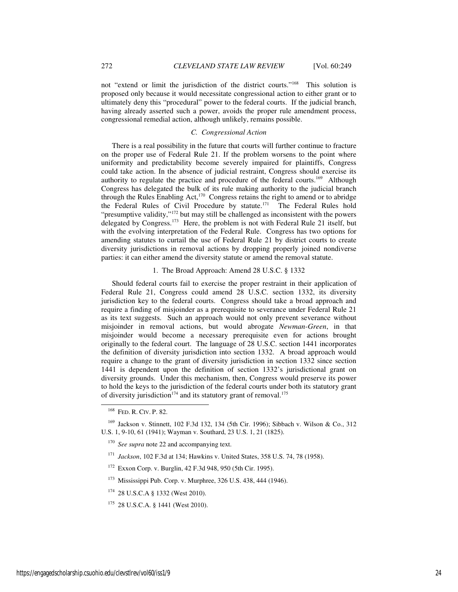not "extend or limit the jurisdiction of the district courts."<sup>168</sup> This solution is proposed only because it would necessitate congressional action to either grant or to ultimately deny this "procedural" power to the federal courts. If the judicial branch, having already asserted such a power, avoids the proper rule amendment process, congressional remedial action, although unlikely, remains possible.

#### *C. Congressional Action*

There is a real possibility in the future that courts will further continue to fracture on the proper use of Federal Rule 21. If the problem worsens to the point where uniformity and predictability become severely impaired for plaintiffs, Congress could take action. In the absence of judicial restraint, Congress should exercise its authority to regulate the practice and procedure of the federal courts.<sup>169</sup> Although Congress has delegated the bulk of its rule making authority to the judicial branch through the Rules Enabling Act,<sup>170</sup> Congress retains the right to amend or to abridge the Federal Rules of Civil Procedure by statute.<sup>171</sup> The Federal Rules hold "presumptive validity,"<sup>172</sup> but may still be challenged as inconsistent with the powers delegated by Congress.<sup>173</sup> Here, the problem is not with Federal Rule 21 itself, but with the evolving interpretation of the Federal Rule. Congress has two options for amending statutes to curtail the use of Federal Rule 21 by district courts to create diversity jurisdictions in removal actions by dropping properly joined nondiverse parties: it can either amend the diversity statute or amend the removal statute.

#### 1.The Broad Approach: Amend 28 U.S.C. § 1332

Should federal courts fail to exercise the proper restraint in their application of Federal Rule 21, Congress could amend 28 U.S.C. section 1332, its diversity jurisdiction key to the federal courts. Congress should take a broad approach and require a finding of misjoinder as a prerequisite to severance under Federal Rule 21 as its text suggests. Such an approach would not only prevent severance without misjoinder in removal actions, but would abrogate *Newman-Green*, in that misjoinder would become a necessary prerequisite even for actions brought originally to the federal court. The language of 28 U.S.C. section 1441 incorporates the definition of diversity jurisdiction into section 1332. A broad approach would require a change to the grant of diversity jurisdiction in section 1332 since section 1441 is dependent upon the definition of section 1332's jurisdictional grant on diversity grounds. Under this mechanism, then, Congress would preserve its power to hold the keys to the jurisdiction of the federal courts under both its statutory grant of diversity jurisdiction<sup>174</sup> and its statutory grant of removal.<sup>175</sup>

-

- <sup>172</sup> Exxon Corp. v. Burglin, 42 F.3d 948, 950 (5th Cir. 1995).
- <sup>173</sup> Mississippi Pub. Corp. v. Murphree, 326 U.S. 438, 444 (1946).
- <sup>174</sup> 28 U.S.C.A § 1332 (West 2010).

<sup>168</sup> FED. R. CIV. P. 82.

<sup>169</sup> Jackson v. Stinnett, 102 F.3d 132, 134 (5th Cir. 1996); Sibbach v. Wilson & Co., 312 U.S. 1, 9-10, 61 (1941); Wayman v. Southard, 23 U.S. 1, 21 (1825).

<sup>&</sup>lt;sup>170</sup> *See supra* note 22 and accompanying text.

<sup>171</sup> *Jackson*, 102 F.3d at 134; Hawkins v. United States, 358 U.S. 74, 78 (1958).

<sup>175</sup> 28 U.S.C.A. § 1441 (West 2010).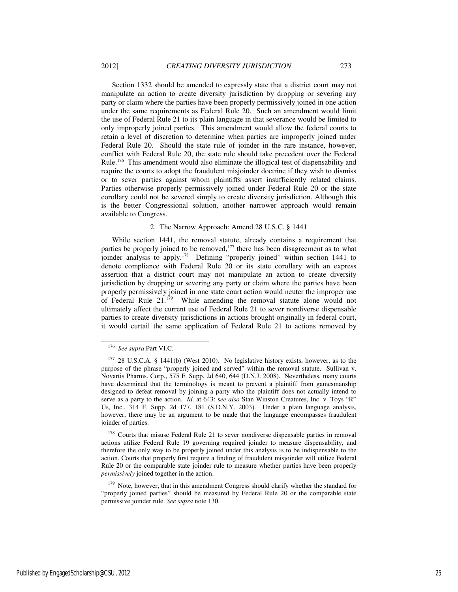Section 1332 should be amended to expressly state that a district court may not manipulate an action to create diversity jurisdiction by dropping or severing any party or claim where the parties have been properly permissively joined in one action under the same requirements as Federal Rule 20. Such an amendment would limit the use of Federal Rule 21 to its plain language in that severance would be limited to only improperly joined parties. This amendment would allow the federal courts to retain a level of discretion to determine when parties are improperly joined under Federal Rule 20. Should the state rule of joinder in the rare instance, however, conflict with Federal Rule 20, the state rule should take precedent over the Federal Rule.<sup>176</sup> This amendment would also eliminate the illogical test of dispensability and require the courts to adopt the fraudulent misjoinder doctrine if they wish to dismiss or to sever parties against whom plaintiffs assert insufficiently related claims. Parties otherwise properly permissively joined under Federal Rule 20 or the state corollary could not be severed simply to create diversity jurisdiction. Although this is the better Congressional solution, another narrower approach would remain available to Congress.

#### 2. The Narrow Approach: Amend 28 U.S.C. § 1441

While section 1441, the removal statute, already contains a requirement that parties be properly joined to be removed,<sup>177</sup> there has been disagreement as to what joinder analysis to apply.<sup>178</sup> Defining "properly joined" within section 1441 to denote compliance with Federal Rule 20 or its state corollary with an express assertion that a district court may not manipulate an action to create diversity jurisdiction by dropping or severing any party or claim where the parties have been properly permissively joined in one state court action would neuter the improper use of Federal Rule 21.<sup>179</sup> While amending the removal statute alone would not ultimately affect the current use of Federal Rule 21 to sever nondiverse dispensable parties to create diversity jurisdictions in actions brought originally in federal court, it would curtail the same application of Federal Rule 21 to actions removed by

l

<sup>176</sup> *See supra* Part VI.C.

<sup>&</sup>lt;sup>177</sup> 28 U.S.C.A. § 1441(b) (West 2010). No legislative history exists, however, as to the purpose of the phrase "properly joined and served" within the removal statute. Sullivan v. Novartis Pharms. Corp., 575 F. Supp. 2d 640, 644 (D.N.J. 2008). Nevertheless, many courts have determined that the terminology is meant to prevent a plaintiff from gamesmanship designed to defeat removal by joining a party who the plaintiff does not actually intend to serve as a party to the action. *Id.* at 643; s*ee also* Stan Winston Creatures, Inc. v. Toys "R" Us, Inc., 314 F. Supp. 2d 177, 181 (S.D.N.Y. 2003). Under a plain language analysis, however, there may be an argument to be made that the language encompasses fraudulent joinder of parties.

<sup>&</sup>lt;sup>178</sup> Courts that misuse Federal Rule 21 to sever nondiverse dispensable parties in removal actions utilize Federal Rule 19 governing required joinder to measure dispensability, and therefore the only way to be properly joined under this analysis is to be indispensable to the action. Courts that properly first require a finding of fraudulent misjoinder will utilize Federal Rule 20 or the comparable state joinder rule to measure whether parties have been properly *permissively* joined together in the action.

<sup>&</sup>lt;sup>179</sup> Note, however, that in this amendment Congress should clarify whether the standard for "properly joined parties" should be measured by Federal Rule 20 or the comparable state permissive joinder rule. *See supra* note 130.